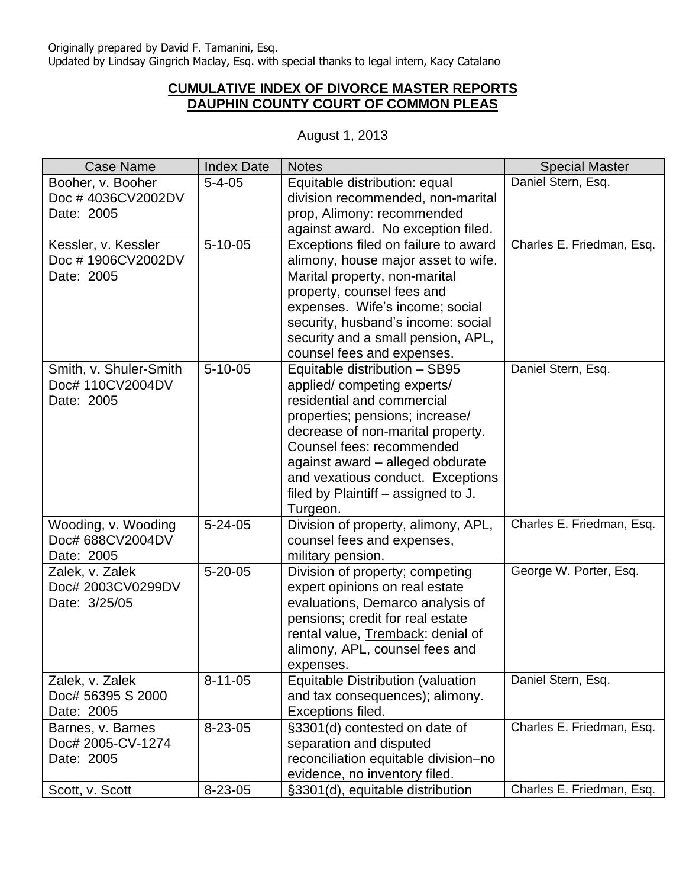## **CUMULATIVE INDEX OF DIVORCE MASTER REPORTS DAUPHIN COUNTY COURT OF COMMON PLEAS**

| <b>Case Name</b>                                         | <b>Index Date</b> | <b>Notes</b>                                                                                                                                                                                                                                                                                                               | <b>Special Master</b>     |
|----------------------------------------------------------|-------------------|----------------------------------------------------------------------------------------------------------------------------------------------------------------------------------------------------------------------------------------------------------------------------------------------------------------------------|---------------------------|
| Booher, v. Booher<br>Doc #4036CV2002DV<br>Date: 2005     | $5 - 4 - 05$      | Equitable distribution: equal<br>division recommended, non-marital<br>prop, Alimony: recommended<br>against award. No exception filed.                                                                                                                                                                                     | Daniel Stern, Esq.        |
| Kessler, v. Kessler<br>Doc #1906CV2002DV<br>Date: 2005   | $5 - 10 - 05$     | Exceptions filed on failure to award<br>alimony, house major asset to wife.<br>Marital property, non-marital<br>property, counsel fees and<br>expenses. Wife's income; social<br>security, husband's income: social<br>security and a small pension, APL,<br>counsel fees and expenses.                                    | Charles E. Friedman, Esq. |
| Smith, v. Shuler-Smith<br>Doc# 110CV2004DV<br>Date: 2005 | $5 - 10 - 05$     | Equitable distribution - SB95<br>applied/competing experts/<br>residential and commercial<br>properties; pensions; increase/<br>decrease of non-marital property.<br>Counsel fees: recommended<br>against award - alleged obdurate<br>and vexatious conduct. Exceptions<br>filed by Plaintiff – assigned to J.<br>Turgeon. | Daniel Stern, Esq.        |
| Wooding, v. Wooding<br>Doc# 688CV2004DV<br>Date: 2005    | $5 - 24 - 05$     | Division of property, alimony, APL,<br>counsel fees and expenses,<br>military pension.                                                                                                                                                                                                                                     | Charles E. Friedman, Esq. |
| Zalek, v. Zalek<br>Doc# 2003CV0299DV<br>Date: 3/25/05    | $5 - 20 - 05$     | Division of property; competing<br>expert opinions on real estate<br>evaluations, Demarco analysis of<br>pensions; credit for real estate<br>rental value, Tremback: denial of<br>alimony, APL, counsel fees and<br>expenses.                                                                                              | George W. Porter, Esq.    |
| Zalek, v. Zalek<br>Doc# 56395 S 2000<br>Date: 2005       | $8 - 11 - 05$     | <b>Equitable Distribution (valuation</b><br>and tax consequences); alimony.<br>Exceptions filed.                                                                                                                                                                                                                           | Daniel Stern, Esq.        |
| Barnes, v. Barnes<br>Doc# 2005-CV-1274<br>Date: 2005     | 8-23-05           | §3301(d) contested on date of<br>separation and disputed<br>reconciliation equitable division-no<br>evidence, no inventory filed.                                                                                                                                                                                          | Charles E. Friedman, Esq. |
| Scott, v. Scott                                          | 8-23-05           | §3301(d), equitable distribution                                                                                                                                                                                                                                                                                           | Charles E. Friedman, Esq. |

## August 1, 2013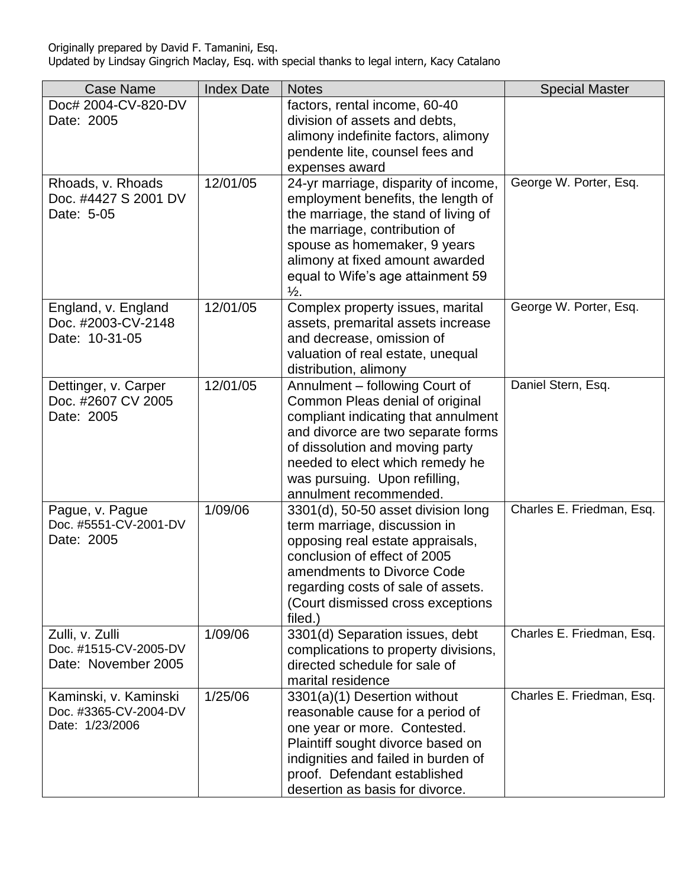| <b>Case Name</b>                                                  | <b>Index Date</b> | <b>Notes</b>                                                                                                                                                                                                                                                                    | <b>Special Master</b>     |
|-------------------------------------------------------------------|-------------------|---------------------------------------------------------------------------------------------------------------------------------------------------------------------------------------------------------------------------------------------------------------------------------|---------------------------|
| Doc# 2004-CV-820-DV<br>Date: 2005                                 |                   | factors, rental income, 60-40<br>division of assets and debts,                                                                                                                                                                                                                  |                           |
|                                                                   |                   | alimony indefinite factors, alimony                                                                                                                                                                                                                                             |                           |
|                                                                   |                   | pendente lite, counsel fees and                                                                                                                                                                                                                                                 |                           |
|                                                                   |                   | expenses award                                                                                                                                                                                                                                                                  |                           |
| Rhoads, v. Rhoads<br>Doc. #4427 S 2001 DV<br>Date: 5-05           | 12/01/05          | 24-yr marriage, disparity of income,<br>employment benefits, the length of<br>the marriage, the stand of living of<br>the marriage, contribution of<br>spouse as homemaker, 9 years<br>alimony at fixed amount awarded<br>equal to Wife's age attainment 59<br>$\frac{1}{2}$ .  | George W. Porter, Esq.    |
| England, v. England<br>Doc. #2003-CV-2148<br>Date: 10-31-05       | 12/01/05          | Complex property issues, marital<br>assets, premarital assets increase<br>and decrease, omission of<br>valuation of real estate, unequal<br>distribution, alimony                                                                                                               | George W. Porter, Esq.    |
| Dettinger, v. Carper<br>Doc. #2607 CV 2005<br>Date: 2005          | 12/01/05          | Annulment - following Court of<br>Common Pleas denial of original<br>compliant indicating that annulment<br>and divorce are two separate forms<br>of dissolution and moving party<br>needed to elect which remedy he<br>was pursuing. Upon refilling,<br>annulment recommended. | Daniel Stern, Esq.        |
| Pague, v. Pague<br>Doc. #5551-CV-2001-DV<br>Date: 2005            | 1/09/06           | 3301(d), 50-50 asset division long<br>term marriage, discussion in<br>opposing real estate appraisals,<br>conclusion of effect of 2005<br>amendments to Divorce Code<br>regarding costs of sale of assets.<br>(Court dismissed cross exceptions<br>filed.)                      | Charles E. Friedman, Esq. |
| Zulli, v. Zulli<br>Doc. #1515-CV-2005-DV<br>Date: November 2005   | 1/09/06           | 3301(d) Separation issues, debt<br>complications to property divisions,<br>directed schedule for sale of<br>marital residence                                                                                                                                                   | Charles E. Friedman, Esq. |
| Kaminski, v. Kaminski<br>Doc. #3365-CV-2004-DV<br>Date: 1/23/2006 | 1/25/06           | 3301(a)(1) Desertion without<br>reasonable cause for a period of<br>one year or more. Contested.<br>Plaintiff sought divorce based on<br>indignities and failed in burden of<br>proof. Defendant established<br>desertion as basis for divorce.                                 | Charles E. Friedman, Esq. |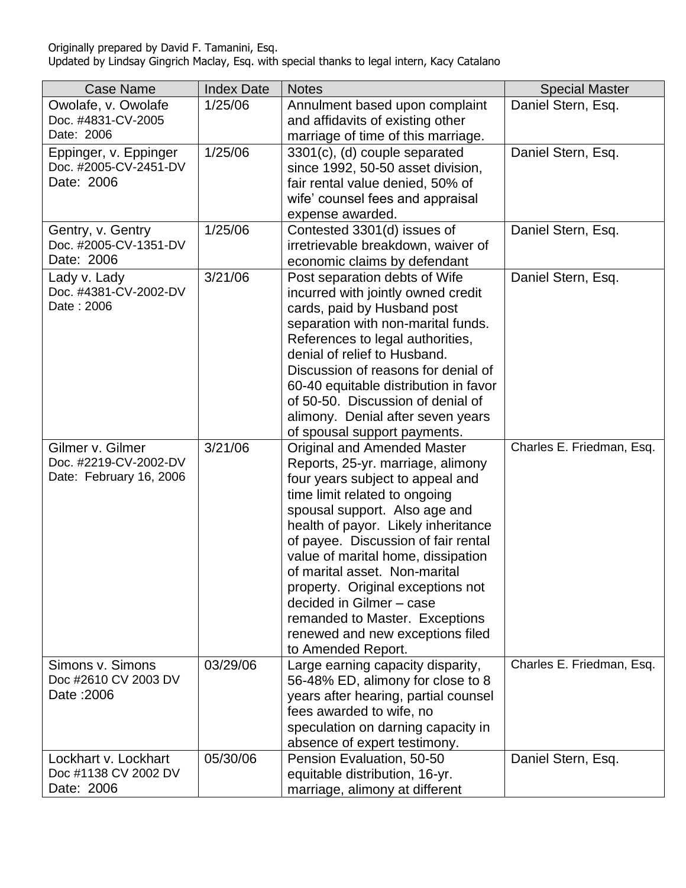| <b>Case Name</b>        | <b>Index Date</b> | <b>Notes</b>                                               | <b>Special Master</b>     |
|-------------------------|-------------------|------------------------------------------------------------|---------------------------|
| Owolafe, v. Owolafe     | 1/25/06           | Annulment based upon complaint                             | Daniel Stern, Esq.        |
| Doc. #4831-CV-2005      |                   | and affidavits of existing other                           |                           |
| Date: 2006              |                   | marriage of time of this marriage.                         |                           |
| Eppinger, v. Eppinger   | 1/25/06           | 3301(c), (d) couple separated                              | Daniel Stern, Esq.        |
| Doc. #2005-CV-2451-DV   |                   | since 1992, 50-50 asset division,                          |                           |
| Date: 2006              |                   | fair rental value denied, 50% of                           |                           |
|                         |                   | wife' counsel fees and appraisal                           |                           |
|                         |                   | expense awarded.                                           |                           |
| Gentry, v. Gentry       | 1/25/06           | Contested 3301(d) issues of                                | Daniel Stern, Esq.        |
| Doc. #2005-CV-1351-DV   |                   | irretrievable breakdown, waiver of                         |                           |
| Date: 2006              |                   | economic claims by defendant                               |                           |
| Lady v. Lady            | 3/21/06           | Post separation debts of Wife                              | Daniel Stern, Esq.        |
| Doc. #4381-CV-2002-DV   |                   | incurred with jointly owned credit                         |                           |
| Date: 2006              |                   | cards, paid by Husband post                                |                           |
|                         |                   | separation with non-marital funds.                         |                           |
|                         |                   | References to legal authorities,                           |                           |
|                         |                   | denial of relief to Husband.                               |                           |
|                         |                   | Discussion of reasons for denial of                        |                           |
|                         |                   | 60-40 equitable distribution in favor                      |                           |
|                         |                   | of 50-50. Discussion of denial of                          |                           |
|                         |                   | alimony. Denial after seven years                          |                           |
|                         |                   | of spousal support payments.                               |                           |
| Gilmer v. Gilmer        | 3/21/06           | <b>Original and Amended Master</b>                         | Charles E. Friedman, Esq. |
| Doc. #2219-CV-2002-DV   |                   | Reports, 25-yr. marriage, alimony                          |                           |
| Date: February 16, 2006 |                   | four years subject to appeal and                           |                           |
|                         |                   | time limit related to ongoing                              |                           |
|                         |                   | spousal support. Also age and                              |                           |
|                         |                   | health of payor. Likely inheritance                        |                           |
|                         |                   | of payee. Discussion of fair rental                        |                           |
|                         |                   | value of marital home, dissipation                         |                           |
|                         |                   | of marital asset. Non-marital                              |                           |
|                         |                   | property. Original exceptions not                          |                           |
|                         |                   | decided in Gilmer - case<br>remanded to Master. Exceptions |                           |
|                         |                   | renewed and new exceptions filed                           |                           |
|                         |                   | to Amended Report.                                         |                           |
| Simons v. Simons        | 03/29/06          | Large earning capacity disparity,                          | Charles E. Friedman, Esq. |
| Doc #2610 CV 2003 DV    |                   | 56-48% ED, alimony for close to 8                          |                           |
| Date: 2006              |                   | years after hearing, partial counsel                       |                           |
|                         |                   | fees awarded to wife, no                                   |                           |
|                         |                   | speculation on darning capacity in                         |                           |
|                         |                   | absence of expert testimony.                               |                           |
| Lockhart v. Lockhart    | 05/30/06          | Pension Evaluation, 50-50                                  | Daniel Stern, Esq.        |
| Doc #1138 CV 2002 DV    |                   | equitable distribution, 16-yr.                             |                           |
| Date: 2006              |                   | marriage, alimony at different                             |                           |
|                         |                   |                                                            |                           |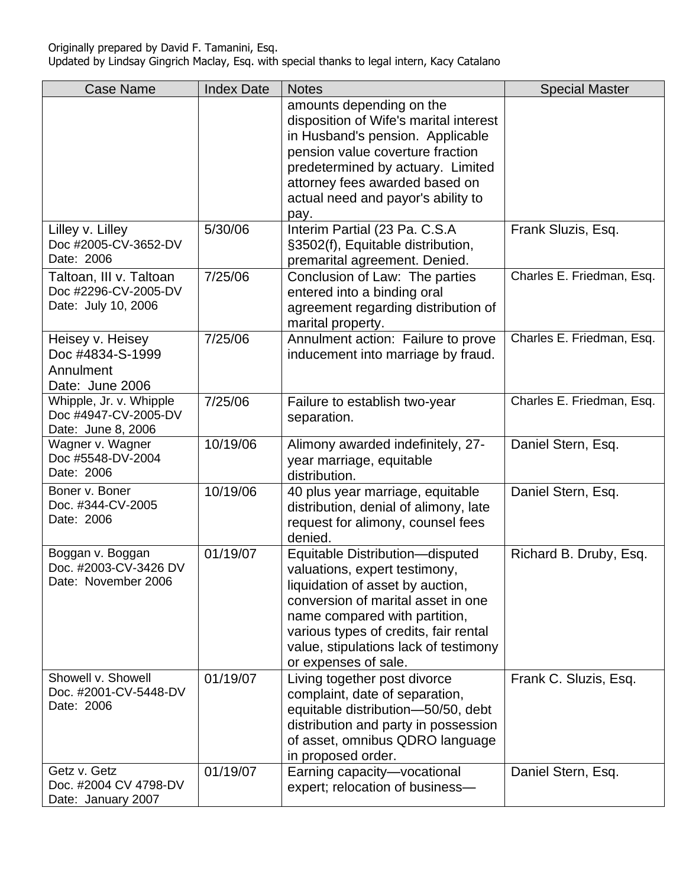| <b>Case Name</b>                                                       | <b>Index Date</b> | <b>Notes</b>                                                                                                                                                                                                                                                                          | <b>Special Master</b>     |
|------------------------------------------------------------------------|-------------------|---------------------------------------------------------------------------------------------------------------------------------------------------------------------------------------------------------------------------------------------------------------------------------------|---------------------------|
|                                                                        |                   | amounts depending on the<br>disposition of Wife's marital interest<br>in Husband's pension. Applicable<br>pension value coverture fraction<br>predetermined by actuary. Limited<br>attorney fees awarded based on<br>actual need and payor's ability to                               |                           |
| Lilley v. Lilley<br>Doc #2005-CV-3652-DV<br>Date: 2006                 | 5/30/06           | pay.<br>Interim Partial (23 Pa. C.S.A<br>§3502(f), Equitable distribution,<br>premarital agreement. Denied.                                                                                                                                                                           | Frank Sluzis, Esq.        |
| Taltoan, III v. Taltoan<br>Doc #2296-CV-2005-DV<br>Date: July 10, 2006 | 7/25/06           | Conclusion of Law: The parties<br>entered into a binding oral<br>agreement regarding distribution of<br>marital property.                                                                                                                                                             | Charles E. Friedman, Esq. |
| Heisey v. Heisey<br>Doc #4834-S-1999<br>Annulment<br>Date: June 2006   | 7/25/06           | Annulment action: Failure to prove<br>inducement into marriage by fraud.                                                                                                                                                                                                              | Charles E. Friedman, Esq. |
| Whipple, Jr. v. Whipple<br>Doc #4947-CV-2005-DV<br>Date: June 8, 2006  | 7/25/06           | Failure to establish two-year<br>separation.                                                                                                                                                                                                                                          | Charles E. Friedman, Esq. |
| Wagner v. Wagner<br>Doc #5548-DV-2004<br>Date: 2006                    | 10/19/06          | Alimony awarded indefinitely, 27-<br>year marriage, equitable<br>distribution.                                                                                                                                                                                                        | Daniel Stern, Esq.        |
| Boner v. Boner<br>Doc. #344-CV-2005<br>Date: 2006                      | 10/19/06          | 40 plus year marriage, equitable<br>distribution, denial of alimony, late<br>request for alimony, counsel fees<br>denied.                                                                                                                                                             | Daniel Stern, Esq.        |
| Boggan v. Boggan<br>Doc. #2003-CV-3426 DV<br>Date: November 2006       | 01/19/07          | Equitable Distribution-disputed<br>valuations, expert testimony,<br>liquidation of asset by auction,<br>conversion of marital asset in one<br>name compared with partition,<br>various types of credits, fair rental<br>value, stipulations lack of testimony<br>or expenses of sale. | Richard B. Druby, Esq.    |
| Showell v. Showell<br>Doc. #2001-CV-5448-DV<br>Date: 2006              | 01/19/07          | Living together post divorce<br>complaint, date of separation,<br>equitable distribution-50/50, debt<br>distribution and party in possession<br>of asset, omnibus QDRO language<br>in proposed order.                                                                                 | Frank C. Sluzis, Esq.     |
| Getz v. Getz<br>Doc. #2004 CV 4798-DV<br>Date: January 2007            | 01/19/07          | Earning capacity-vocational<br>expert; relocation of business-                                                                                                                                                                                                                        | Daniel Stern, Esq.        |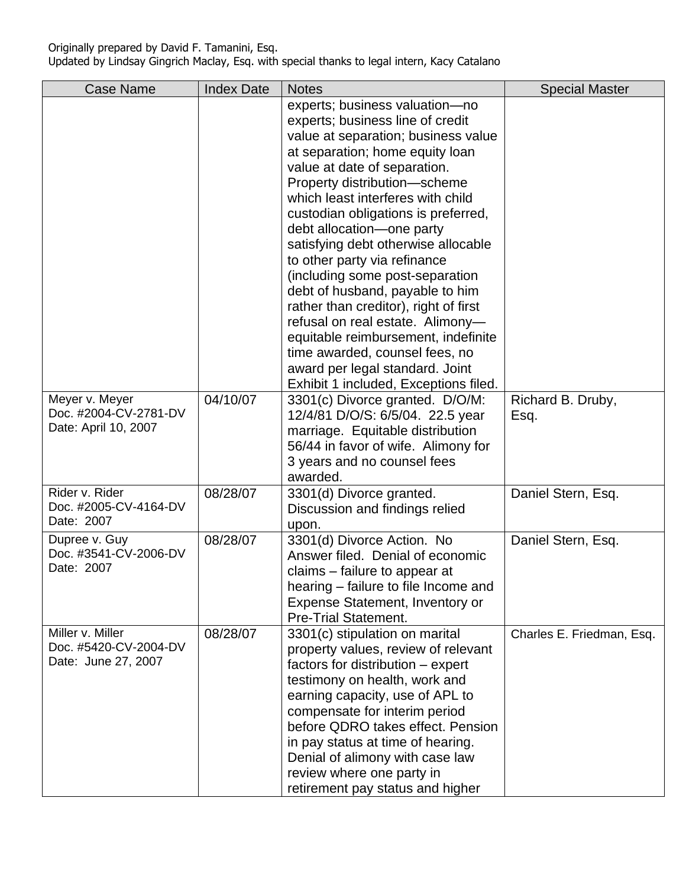| <b>Case Name</b>      | <b>Index Date</b> | <b>Notes</b>                                                             | <b>Special Master</b>     |
|-----------------------|-------------------|--------------------------------------------------------------------------|---------------------------|
|                       |                   | experts; business valuation-no                                           |                           |
|                       |                   | experts; business line of credit                                         |                           |
|                       |                   | value at separation; business value                                      |                           |
|                       |                   | at separation; home equity loan                                          |                           |
|                       |                   | value at date of separation.                                             |                           |
|                       |                   | Property distribution-scheme                                             |                           |
|                       |                   | which least interferes with child                                        |                           |
|                       |                   | custodian obligations is preferred,                                      |                           |
|                       |                   | debt allocation-one party                                                |                           |
|                       |                   | satisfying debt otherwise allocable                                      |                           |
|                       |                   | to other party via refinance                                             |                           |
|                       |                   | (including some post-separation                                          |                           |
|                       |                   | debt of husband, payable to him                                          |                           |
|                       |                   | rather than creditor), right of first                                    |                           |
|                       |                   | refusal on real estate. Alimony-                                         |                           |
|                       |                   | equitable reimbursement, indefinite                                      |                           |
|                       |                   | time awarded, counsel fees, no                                           |                           |
|                       |                   | award per legal standard. Joint<br>Exhibit 1 included, Exceptions filed. |                           |
| Meyer v. Meyer        | 04/10/07          | 3301(c) Divorce granted. D/O/M:                                          | Richard B. Druby,         |
| Doc. #2004-CV-2781-DV |                   | 12/4/81 D/O/S: 6/5/04. 22.5 year                                         | Esq.                      |
| Date: April 10, 2007  |                   | marriage. Equitable distribution                                         |                           |
|                       |                   | 56/44 in favor of wife. Alimony for                                      |                           |
|                       |                   | 3 years and no counsel fees                                              |                           |
|                       |                   | awarded.                                                                 |                           |
| Rider v. Rider        | 08/28/07          | 3301(d) Divorce granted.                                                 | Daniel Stern, Esq.        |
| Doc. #2005-CV-4164-DV |                   | Discussion and findings relied                                           |                           |
| Date: 2007            |                   | upon.                                                                    |                           |
| Dupree v. Guy         | 08/28/07          | 3301(d) Divorce Action. No                                               | Daniel Stern, Esq.        |
| Doc. #3541-CV-2006-DV |                   | Answer filed. Denial of economic                                         |                           |
| Date: 2007            |                   | claims - failure to appear at                                            |                           |
|                       |                   | hearing - failure to file Income and                                     |                           |
|                       |                   | Expense Statement, Inventory or                                          |                           |
|                       |                   | <b>Pre-Trial Statement.</b>                                              |                           |
| Miller v. Miller      | 08/28/07          | 3301(c) stipulation on marital                                           | Charles E. Friedman, Esq. |
| Doc. #5420-CV-2004-DV |                   | property values, review of relevant                                      |                           |
| Date: June 27, 2007   |                   | factors for distribution – expert                                        |                           |
|                       |                   | testimony on health, work and                                            |                           |
|                       |                   | earning capacity, use of APL to                                          |                           |
|                       |                   | compensate for interim period                                            |                           |
|                       |                   | before QDRO takes effect. Pension                                        |                           |
|                       |                   | in pay status at time of hearing.                                        |                           |
|                       |                   | Denial of alimony with case law                                          |                           |
|                       |                   | review where one party in                                                |                           |
|                       |                   | retirement pay status and higher                                         |                           |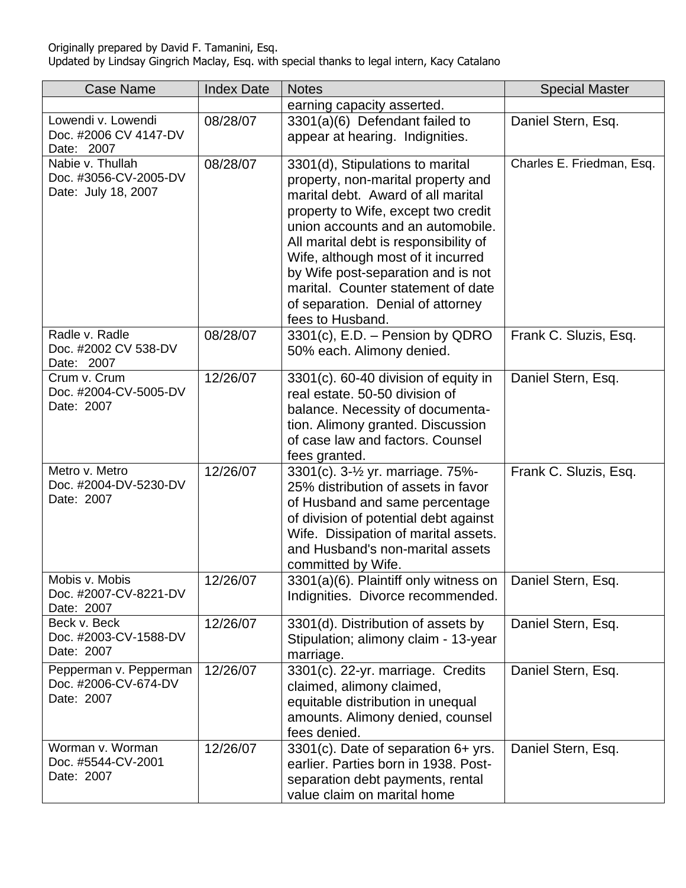| <b>Case Name</b>                                                 | <b>Index Date</b> | <b>Notes</b>                                                                                                                                                                                                                                                                                                                                                                                                 | <b>Special Master</b>     |
|------------------------------------------------------------------|-------------------|--------------------------------------------------------------------------------------------------------------------------------------------------------------------------------------------------------------------------------------------------------------------------------------------------------------------------------------------------------------------------------------------------------------|---------------------------|
|                                                                  |                   | earning capacity asserted.                                                                                                                                                                                                                                                                                                                                                                                   |                           |
| Lowendi v. Lowendi<br>Doc. #2006 CV 4147-DV<br>Date: 2007        | 08/28/07          | 3301(a)(6) Defendant failed to<br>appear at hearing. Indignities.                                                                                                                                                                                                                                                                                                                                            | Daniel Stern, Esq.        |
| Nabie v. Thullah<br>Doc. #3056-CV-2005-DV<br>Date: July 18, 2007 | 08/28/07          | 3301(d), Stipulations to marital<br>property, non-marital property and<br>marital debt. Award of all marital<br>property to Wife, except two credit<br>union accounts and an automobile.<br>All marital debt is responsibility of<br>Wife, although most of it incurred<br>by Wife post-separation and is not<br>marital. Counter statement of date<br>of separation. Denial of attorney<br>fees to Husband. | Charles E. Friedman, Esq. |
| Radle v. Radle<br>Doc. #2002 CV 538-DV<br>Date: 2007             | 08/28/07          | $3301(c)$ , E.D. – Pension by QDRO<br>50% each. Alimony denied.                                                                                                                                                                                                                                                                                                                                              | Frank C. Sluzis, Esq.     |
| Crum v. Crum<br>Doc. #2004-CV-5005-DV<br>Date: 2007              | 12/26/07          | 3301(c). 60-40 division of equity in<br>real estate, 50-50 division of<br>balance. Necessity of documenta-<br>tion. Alimony granted. Discussion<br>of case law and factors. Counsel<br>fees granted.                                                                                                                                                                                                         | Daniel Stern, Esq.        |
| Metro v. Metro<br>Doc. #2004-DV-5230-DV<br>Date: 2007            | 12/26/07          | 3301(c). 3-1/ <sub>2</sub> yr. marriage. 75%-<br>25% distribution of assets in favor<br>of Husband and same percentage<br>of division of potential debt against<br>Wife. Dissipation of marital assets.<br>and Husband's non-marital assets<br>committed by Wife.                                                                                                                                            | Frank C. Sluzis, Esq.     |
| Mobis v. Mobis<br>Doc. #2007-CV-8221-DV<br>Date: 2007            | 12/26/07          | 3301(a)(6). Plaintiff only witness on<br>Indignities. Divorce recommended.                                                                                                                                                                                                                                                                                                                                   | Daniel Stern, Esq.        |
| Beck v. Beck<br>Doc. #2003-CV-1588-DV<br>Date: 2007              | 12/26/07          | 3301(d). Distribution of assets by<br>Stipulation; alimony claim - 13-year<br>marriage.                                                                                                                                                                                                                                                                                                                      | Daniel Stern, Esq.        |
| Pepperman v. Pepperman<br>Doc. #2006-CV-674-DV<br>Date: 2007     | 12/26/07          | 3301(c). 22-yr. marriage. Credits<br>claimed, alimony claimed,<br>equitable distribution in unequal<br>amounts. Alimony denied, counsel<br>fees denied.                                                                                                                                                                                                                                                      | Daniel Stern, Esq.        |
| Worman v. Worman<br>Doc. #5544-CV-2001<br>Date: 2007             | 12/26/07          | 3301(c). Date of separation 6+ yrs.<br>earlier. Parties born in 1938. Post-<br>separation debt payments, rental<br>value claim on marital home                                                                                                                                                                                                                                                               | Daniel Stern, Esq.        |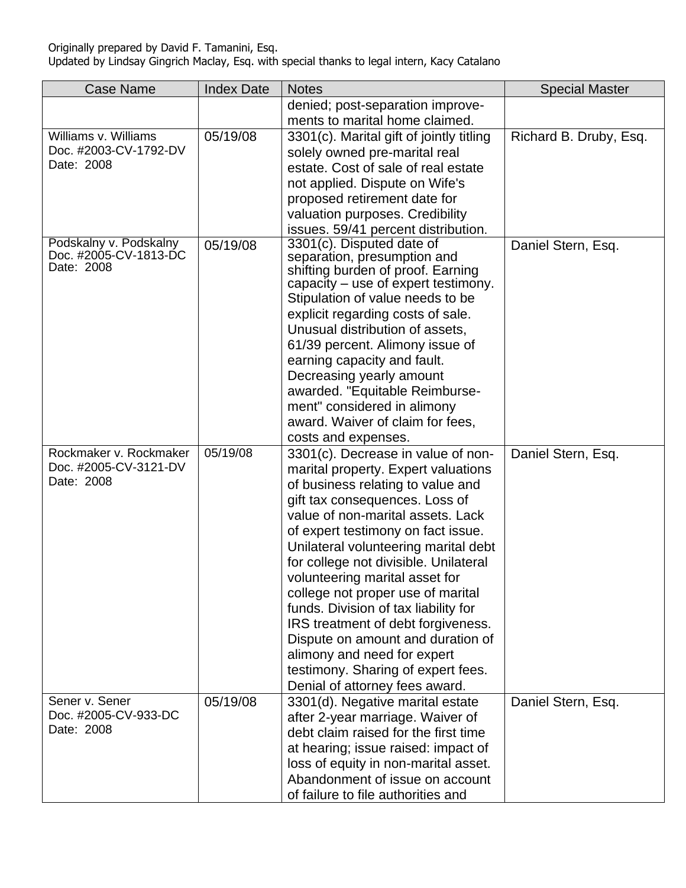| <b>Case Name</b>                                | <b>Index Date</b> | <b>Notes</b>                                             | <b>Special Master</b>  |
|-------------------------------------------------|-------------------|----------------------------------------------------------|------------------------|
|                                                 |                   | denied; post-separation improve-                         |                        |
|                                                 |                   | ments to marital home claimed.                           |                        |
| Williams v. Williams                            | 05/19/08          | 3301(c). Marital gift of jointly titling                 | Richard B. Druby, Esq. |
| Doc. #2003-CV-1792-DV                           |                   | solely owned pre-marital real                            |                        |
| Date: 2008                                      |                   | estate. Cost of sale of real estate                      |                        |
|                                                 |                   | not applied. Dispute on Wife's                           |                        |
|                                                 |                   | proposed retirement date for                             |                        |
|                                                 |                   | valuation purposes. Credibility                          |                        |
|                                                 |                   | issues. 59/41 percent distribution.                      |                        |
| Podskalny v. Podskalny<br>Doc. #2005-CV-1813-DC | 05/19/08          | 3301(c). Disputed date of<br>separation, presumption and | Daniel Stern, Esq.     |
| Date: 2008                                      |                   | shifting burden of proof. Earning                        |                        |
|                                                 |                   | capacity – use of expert testimony.                      |                        |
|                                                 |                   | Stipulation of value needs to be                         |                        |
|                                                 |                   | explicit regarding costs of sale.                        |                        |
|                                                 |                   | Unusual distribution of assets,                          |                        |
|                                                 |                   | 61/39 percent. Alimony issue of                          |                        |
|                                                 |                   | earning capacity and fault.                              |                        |
|                                                 |                   | Decreasing yearly amount                                 |                        |
|                                                 |                   | awarded. "Equitable Reimburse-                           |                        |
|                                                 |                   | ment" considered in alimony                              |                        |
|                                                 |                   | award. Waiver of claim for fees,                         |                        |
|                                                 |                   | costs and expenses.                                      |                        |
| Rockmaker v. Rockmaker                          | 05/19/08          | 3301(c). Decrease in value of non-                       | Daniel Stern, Esq.     |
| Doc. #2005-CV-3121-DV                           |                   | marital property. Expert valuations                      |                        |
| Date: 2008                                      |                   | of business relating to value and                        |                        |
|                                                 |                   | gift tax consequences. Loss of                           |                        |
|                                                 |                   | value of non-marital assets. Lack                        |                        |
|                                                 |                   | of expert testimony on fact issue.                       |                        |
|                                                 |                   | Unilateral volunteering marital debt                     |                        |
|                                                 |                   | for college not divisible. Unilateral                    |                        |
|                                                 |                   | volunteering marital asset for                           |                        |
|                                                 |                   | college not proper use of marital                        |                        |
|                                                 |                   | funds. Division of tax liability for                     |                        |
|                                                 |                   | IRS treatment of debt forgiveness.                       |                        |
|                                                 |                   | Dispute on amount and duration of                        |                        |
|                                                 |                   | alimony and need for expert                              |                        |
|                                                 |                   | testimony. Sharing of expert fees.                       |                        |
|                                                 |                   | Denial of attorney fees award.                           |                        |
| Sener v. Sener<br>Doc. #2005-CV-933-DC          | 05/19/08          | 3301(d). Negative marital estate                         | Daniel Stern, Esq.     |
| Date: 2008                                      |                   | after 2-year marriage. Waiver of                         |                        |
|                                                 |                   | debt claim raised for the first time                     |                        |
|                                                 |                   | at hearing; issue raised: impact of                      |                        |
|                                                 |                   | loss of equity in non-marital asset.                     |                        |
|                                                 |                   | Abandonment of issue on account                          |                        |
|                                                 |                   | of failure to file authorities and                       |                        |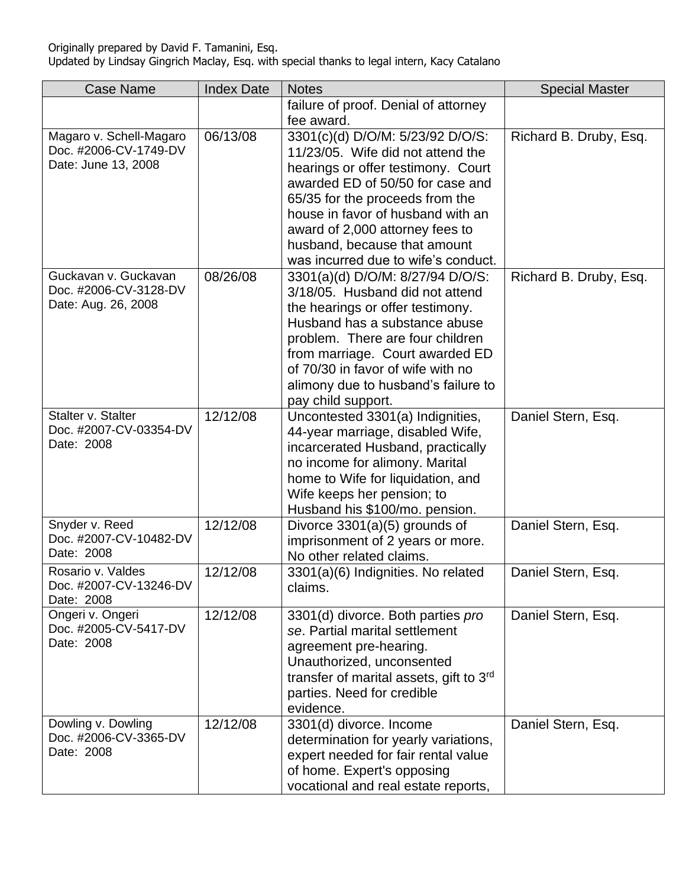| <b>Case Name</b>                             | <b>Index Date</b> | <b>Notes</b>                                                          | <b>Special Master</b>  |
|----------------------------------------------|-------------------|-----------------------------------------------------------------------|------------------------|
|                                              |                   | failure of proof. Denial of attorney                                  |                        |
|                                              |                   | fee award.                                                            |                        |
| Magaro v. Schell-Magaro                      | 06/13/08          | 3301(c)(d) D/O/M: 5/23/92 D/O/S:                                      | Richard B. Druby, Esq. |
| Doc. #2006-CV-1749-DV<br>Date: June 13, 2008 |                   | 11/23/05. Wife did not attend the                                     |                        |
|                                              |                   | hearings or offer testimony. Court                                    |                        |
|                                              |                   | awarded ED of 50/50 for case and                                      |                        |
|                                              |                   | 65/35 for the proceeds from the<br>house in favor of husband with an  |                        |
|                                              |                   | award of 2,000 attorney fees to                                       |                        |
|                                              |                   | husband, because that amount                                          |                        |
|                                              |                   | was incurred due to wife's conduct.                                   |                        |
| Guckavan v. Guckavan                         | 08/26/08          | 3301(a)(d) D/O/M: 8/27/94 D/O/S:                                      | Richard B. Druby, Esq. |
| Doc. #2006-CV-3128-DV                        |                   | 3/18/05. Husband did not attend                                       |                        |
| Date: Aug. 26, 2008                          |                   | the hearings or offer testimony.                                      |                        |
|                                              |                   | Husband has a substance abuse                                         |                        |
|                                              |                   | problem. There are four children                                      |                        |
|                                              |                   | from marriage. Court awarded ED                                       |                        |
|                                              |                   | of 70/30 in favor of wife with no                                     |                        |
|                                              |                   | alimony due to husband's failure to                                   |                        |
|                                              |                   | pay child support.                                                    |                        |
| Stalter v. Stalter                           | 12/12/08          | Uncontested 3301(a) Indignities,                                      | Daniel Stern, Esq.     |
| Doc. #2007-CV-03354-DV<br>Date: 2008         |                   | 44-year marriage, disabled Wife,                                      |                        |
|                                              |                   | incarcerated Husband, practically                                     |                        |
|                                              |                   | no income for alimony. Marital                                        |                        |
|                                              |                   | home to Wife for liquidation, and<br>Wife keeps her pension; to       |                        |
|                                              |                   | Husband his \$100/mo. pension.                                        |                        |
| Snyder v. Reed                               | 12/12/08          | Divorce $3301(a)(5)$ grounds of                                       | Daniel Stern, Esq.     |
| Doc. #2007-CV-10482-DV                       |                   | imprisonment of 2 years or more.                                      |                        |
| Date: 2008                                   |                   | No other related claims.                                              |                        |
| Rosario v. Valdes                            | 12/12/08          | 3301(a)(6) Indignities. No related                                    | Daniel Stern, Esq.     |
| Doc. #2007-CV-13246-DV                       |                   | claims.                                                               |                        |
| Date: 2008                                   |                   |                                                                       |                        |
| Ongeri v. Ongeri                             | 12/12/08          | 3301(d) divorce. Both parties pro                                     | Daniel Stern, Esq.     |
| Doc. #2005-CV-5417-DV<br>Date: 2008          |                   | se. Partial marital settlement                                        |                        |
|                                              |                   | agreement pre-hearing.                                                |                        |
|                                              |                   | Unauthorized, unconsented                                             |                        |
|                                              |                   | transfer of marital assets, gift to 3rd<br>parties. Need for credible |                        |
|                                              |                   | evidence.                                                             |                        |
| Dowling v. Dowling                           | 12/12/08          | 3301(d) divorce. Income                                               | Daniel Stern, Esq.     |
| Doc. #2006-CV-3365-DV                        |                   | determination for yearly variations,                                  |                        |
| Date: 2008                                   |                   | expert needed for fair rental value                                   |                        |
|                                              |                   | of home. Expert's opposing                                            |                        |
|                                              |                   | vocational and real estate reports,                                   |                        |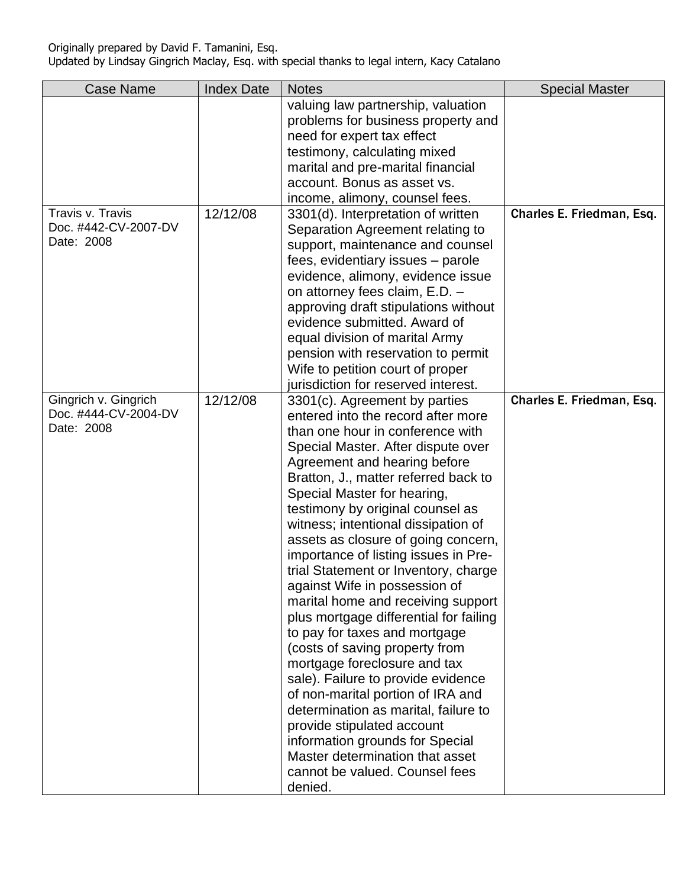| <b>Case Name</b>     | <b>Index Date</b> | <b>Notes</b>                           | <b>Special Master</b>     |
|----------------------|-------------------|----------------------------------------|---------------------------|
|                      |                   | valuing law partnership, valuation     |                           |
|                      |                   | problems for business property and     |                           |
|                      |                   | need for expert tax effect             |                           |
|                      |                   | testimony, calculating mixed           |                           |
|                      |                   | marital and pre-marital financial      |                           |
|                      |                   | account. Bonus as asset vs.            |                           |
|                      |                   | income, alimony, counsel fees.         |                           |
| Travis v. Travis     | 12/12/08          | 3301(d). Interpretation of written     | Charles E. Friedman, Esq. |
| Doc. #442-CV-2007-DV |                   | Separation Agreement relating to       |                           |
| Date: 2008           |                   | support, maintenance and counsel       |                           |
|                      |                   | fees, evidentiary issues - parole      |                           |
|                      |                   | evidence, alimony, evidence issue      |                           |
|                      |                   | on attorney fees claim, E.D. -         |                           |
|                      |                   | approving draft stipulations without   |                           |
|                      |                   | evidence submitted. Award of           |                           |
|                      |                   | equal division of marital Army         |                           |
|                      |                   | pension with reservation to permit     |                           |
|                      |                   | Wife to petition court of proper       |                           |
|                      |                   | jurisdiction for reserved interest.    |                           |
| Gingrich v. Gingrich | 12/12/08          | 3301(c). Agreement by parties          | Charles E. Friedman, Esq. |
| Doc. #444-CV-2004-DV |                   | entered into the record after more     |                           |
| Date: 2008           |                   | than one hour in conference with       |                           |
|                      |                   | Special Master. After dispute over     |                           |
|                      |                   | Agreement and hearing before           |                           |
|                      |                   | Bratton, J., matter referred back to   |                           |
|                      |                   | Special Master for hearing,            |                           |
|                      |                   | testimony by original counsel as       |                           |
|                      |                   | witness; intentional dissipation of    |                           |
|                      |                   | assets as closure of going concern,    |                           |
|                      |                   | importance of listing issues in Pre-   |                           |
|                      |                   | trial Statement or Inventory, charge   |                           |
|                      |                   | against Wife in possession of          |                           |
|                      |                   | marital home and receiving support     |                           |
|                      |                   | plus mortgage differential for failing |                           |
|                      |                   | to pay for taxes and mortgage          |                           |
|                      |                   | (costs of saving property from         |                           |
|                      |                   | mortgage foreclosure and tax           |                           |
|                      |                   | sale). Failure to provide evidence     |                           |
|                      |                   | of non-marital portion of IRA and      |                           |
|                      |                   | determination as marital, failure to   |                           |
|                      |                   | provide stipulated account             |                           |
|                      |                   | information grounds for Special        |                           |
|                      |                   | Master determination that asset        |                           |
|                      |                   | cannot be valued. Counsel fees         |                           |
|                      |                   | denied.                                |                           |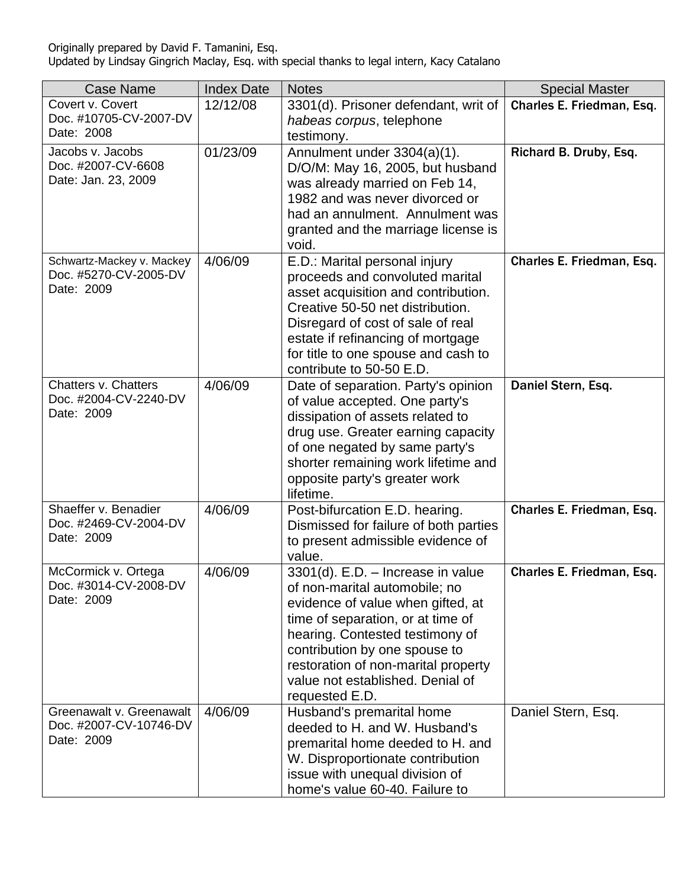| <b>Case Name</b>                       | <b>Index Date</b> | <b>Notes</b>                                                            | <b>Special Master</b>     |
|----------------------------------------|-------------------|-------------------------------------------------------------------------|---------------------------|
| Covert v. Covert                       | 12/12/08          | 3301(d). Prisoner defendant, writ of                                    | Charles E. Friedman, Esq. |
| Doc. #10705-CV-2007-DV<br>Date: 2008   |                   | habeas corpus, telephone                                                |                           |
|                                        |                   | testimony.                                                              |                           |
| Jacobs v. Jacobs<br>Doc. #2007-CV-6608 | 01/23/09          | Annulment under 3304(a)(1).<br>D/O/M: May 16, 2005, but husband         | Richard B. Druby, Esq.    |
| Date: Jan. 23, 2009                    |                   | was already married on Feb 14,                                          |                           |
|                                        |                   | 1982 and was never divorced or                                          |                           |
|                                        |                   | had an annulment. Annulment was                                         |                           |
|                                        |                   | granted and the marriage license is                                     |                           |
|                                        |                   | void.                                                                   |                           |
| Schwartz-Mackey v. Mackey              | 4/06/09           | E.D.: Marital personal injury                                           | Charles E. Friedman, Esq. |
| Doc. #5270-CV-2005-DV<br>Date: 2009    |                   | proceeds and convoluted marital                                         |                           |
|                                        |                   | asset acquisition and contribution.<br>Creative 50-50 net distribution. |                           |
|                                        |                   | Disregard of cost of sale of real                                       |                           |
|                                        |                   | estate if refinancing of mortgage                                       |                           |
|                                        |                   | for title to one spouse and cash to                                     |                           |
|                                        |                   | contribute to 50-50 E.D.                                                |                           |
| Chatters v. Chatters                   | 4/06/09           | Date of separation. Party's opinion                                     | Daniel Stern, Esq.        |
| Doc. #2004-CV-2240-DV<br>Date: 2009    |                   | of value accepted. One party's                                          |                           |
|                                        |                   | dissipation of assets related to<br>drug use. Greater earning capacity  |                           |
|                                        |                   | of one negated by same party's                                          |                           |
|                                        |                   | shorter remaining work lifetime and                                     |                           |
|                                        |                   | opposite party's greater work                                           |                           |
|                                        |                   | lifetime.                                                               |                           |
| Shaeffer v. Benadier                   | 4/06/09           | Post-bifurcation E.D. hearing.                                          | Charles E. Friedman, Esq. |
| Doc. #2469-CV-2004-DV<br>Date: 2009    |                   | Dismissed for failure of both parties                                   |                           |
|                                        |                   | to present admissible evidence of<br>value.                             |                           |
| McCormick v. Ortega                    | 4/06/09           | 3301(d). E.D. - Increase in value                                       | Charles E. Friedman, Esq. |
| Doc. #3014-CV-2008-DV                  |                   | of non-marital automobile; no                                           |                           |
| Date: 2009                             |                   | evidence of value when gifted, at                                       |                           |
|                                        |                   | time of separation, or at time of                                       |                           |
|                                        |                   | hearing. Contested testimony of                                         |                           |
|                                        |                   | contribution by one spouse to                                           |                           |
|                                        |                   | restoration of non-marital property                                     |                           |
|                                        |                   | value not established. Denial of<br>requested E.D.                      |                           |
| Greenawalt v. Greenawalt               | 4/06/09           | Husband's premarital home                                               | Daniel Stern, Esq.        |
| Doc. #2007-CV-10746-DV                 |                   | deeded to H. and W. Husband's                                           |                           |
| Date: 2009                             |                   | premarital home deeded to H. and                                        |                           |
|                                        |                   | W. Disproportionate contribution                                        |                           |
|                                        |                   | issue with unequal division of                                          |                           |
|                                        |                   | home's value 60-40. Failure to                                          |                           |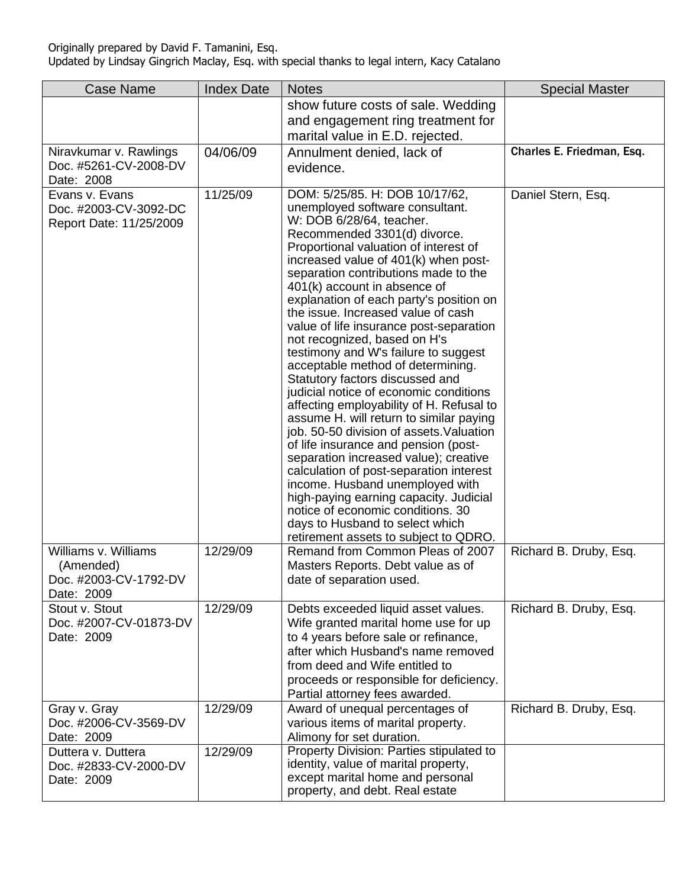| <b>Case Name</b>                                                         | <b>Index Date</b> | <b>Notes</b>                                                                                                                                                                                                                                                                                                                                                                                                                                                                                                                                                                                                                                                                                                                                                                                                                                                                                                                                                                                                                                                              | <b>Special Master</b>     |
|--------------------------------------------------------------------------|-------------------|---------------------------------------------------------------------------------------------------------------------------------------------------------------------------------------------------------------------------------------------------------------------------------------------------------------------------------------------------------------------------------------------------------------------------------------------------------------------------------------------------------------------------------------------------------------------------------------------------------------------------------------------------------------------------------------------------------------------------------------------------------------------------------------------------------------------------------------------------------------------------------------------------------------------------------------------------------------------------------------------------------------------------------------------------------------------------|---------------------------|
|                                                                          |                   | show future costs of sale. Wedding<br>and engagement ring treatment for<br>marital value in E.D. rejected.                                                                                                                                                                                                                                                                                                                                                                                                                                                                                                                                                                                                                                                                                                                                                                                                                                                                                                                                                                |                           |
| Niravkumar v. Rawlings<br>Doc. #5261-CV-2008-DV<br>Date: 2008            | 04/06/09          | Annulment denied, lack of<br>evidence.                                                                                                                                                                                                                                                                                                                                                                                                                                                                                                                                                                                                                                                                                                                                                                                                                                                                                                                                                                                                                                    | Charles E. Friedman, Esq. |
| Evans v. Evans<br>Doc. #2003-CV-3092-DC<br>Report Date: 11/25/2009       | 11/25/09          | DOM: 5/25/85. H: DOB 10/17/62,<br>unemployed software consultant.<br>W: DOB 6/28/64, teacher.<br>Recommended 3301(d) divorce.<br>Proportional valuation of interest of<br>increased value of 401(k) when post-<br>separation contributions made to the<br>401(k) account in absence of<br>explanation of each party's position on<br>the issue. Increased value of cash<br>value of life insurance post-separation<br>not recognized, based on H's<br>testimony and W's failure to suggest<br>acceptable method of determining.<br>Statutory factors discussed and<br>judicial notice of economic conditions<br>affecting employability of H. Refusal to<br>assume H. will return to similar paying<br>job. 50-50 division of assets. Valuation<br>of life insurance and pension (post-<br>separation increased value); creative<br>calculation of post-separation interest<br>income. Husband unemployed with<br>high-paying earning capacity. Judicial<br>notice of economic conditions. 30<br>days to Husband to select which<br>retirement assets to subject to QDRO. | Daniel Stern, Esq.        |
| Williams v. Williams<br>(Amended)<br>Doc. #2003-CV-1792-DV<br>Date: 2009 | 12/29/09          | Remand from Common Pleas of 2007<br>Masters Reports. Debt value as of<br>date of separation used.                                                                                                                                                                                                                                                                                                                                                                                                                                                                                                                                                                                                                                                                                                                                                                                                                                                                                                                                                                         | Richard B. Druby, Esq.    |
| Stout v. Stout<br>Doc. #2007-CV-01873-DV<br>Date: 2009                   | 12/29/09          | Debts exceeded liquid asset values.<br>Wife granted marital home use for up<br>to 4 years before sale or refinance,<br>after which Husband's name removed<br>from deed and Wife entitled to<br>proceeds or responsible for deficiency.<br>Partial attorney fees awarded.                                                                                                                                                                                                                                                                                                                                                                                                                                                                                                                                                                                                                                                                                                                                                                                                  | Richard B. Druby, Esq.    |
| Gray v. Gray<br>Doc. #2006-CV-3569-DV<br>Date: 2009                      | 12/29/09          | Award of unequal percentages of<br>various items of marital property.<br>Alimony for set duration.                                                                                                                                                                                                                                                                                                                                                                                                                                                                                                                                                                                                                                                                                                                                                                                                                                                                                                                                                                        | Richard B. Druby, Esq.    |
| Duttera v. Duttera<br>Doc. #2833-CV-2000-DV<br>Date: 2009                | 12/29/09          | Property Division: Parties stipulated to<br>identity, value of marital property,<br>except marital home and personal<br>property, and debt. Real estate                                                                                                                                                                                                                                                                                                                                                                                                                                                                                                                                                                                                                                                                                                                                                                                                                                                                                                                   |                           |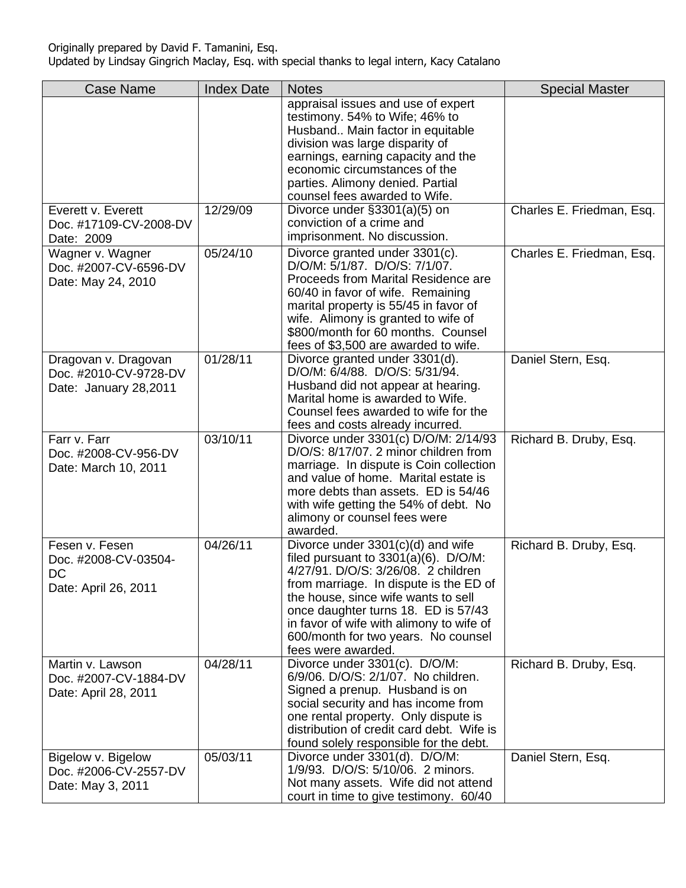| <b>Case Name</b>                                                       | <b>Index Date</b>   | <b>Notes</b>                                                                                                                                                                                                                                                                                                                                         | <b>Special Master</b>     |
|------------------------------------------------------------------------|---------------------|------------------------------------------------------------------------------------------------------------------------------------------------------------------------------------------------------------------------------------------------------------------------------------------------------------------------------------------------------|---------------------------|
|                                                                        |                     | appraisal issues and use of expert<br>testimony. 54% to Wife; 46% to<br>Husband Main factor in equitable<br>division was large disparity of<br>earnings, earning capacity and the<br>economic circumstances of the<br>parties. Alimony denied. Partial<br>counsel fees awarded to Wife.                                                              |                           |
| Everett v. Everett<br>Doc. #17109-CV-2008-DV<br>Date: 2009             | $\frac{1}{2}/29/09$ | Divorce under §3301(a)(5) on<br>conviction of a crime and<br>imprisonment. No discussion.                                                                                                                                                                                                                                                            | Charles E. Friedman, Esq. |
| Wagner v. Wagner<br>Doc. #2007-CV-6596-DV<br>Date: May 24, 2010        | 05/24/10            | Divorce granted under 3301(c).<br>D/O/M: 5/1/87. D/O/S: 7/1/07.<br>Proceeds from Marital Residence are<br>60/40 in favor of wife. Remaining<br>marital property is 55/45 in favor of<br>wife. Alimony is granted to wife of<br>\$800/month for 60 months. Counsel<br>fees of \$3,500 are awarded to wife.                                            | Charles E. Friedman, Esq. |
| Dragovan v. Dragovan<br>Doc. #2010-CV-9728-DV<br>Date: January 28,2011 | 01/28/11            | Divorce granted under 3301(d).<br>D/O/M: 6/4/88. D/O/S: 5/31/94.<br>Husband did not appear at hearing.<br>Marital home is awarded to Wife.<br>Counsel fees awarded to wife for the<br>fees and costs already incurred.                                                                                                                               | Daniel Stern, Esq.        |
| Farr v. Farr<br>Doc. #2008-CV-956-DV<br>Date: March 10, 2011           | 03/10/11            | Divorce under 3301(c) D/O/M: 2/14/93<br>D/O/S: 8/17/07. 2 minor children from<br>marriage. In dispute is Coin collection<br>and value of home. Marital estate is<br>more debts than assets. ED is 54/46<br>with wife getting the 54% of debt. No<br>alimony or counsel fees were<br>awarded.                                                         | Richard B. Druby, Esq.    |
| Fesen v. Fesen<br>Doc. #2008-CV-03504-<br>DC<br>Date: April 26, 2011   | 04/26/11            | Divorce under 3301(c)(d) and wife<br>filed pursuant to $3301(a)(6)$ . D/O/M:<br>4/27/91. D/O/S: 3/26/08. 2 children<br>from marriage. In dispute is the ED of<br>the house, since wife wants to sell<br>once daughter turns 18. ED is 57/43<br>in favor of wife with alimony to wife of<br>600/month for two years. No counsel<br>fees were awarded. | Richard B. Druby, Esq.    |
| Martin v. Lawson<br>Doc. #2007-CV-1884-DV<br>Date: April 28, 2011      | 04/28/11            | Divorce under 3301(c). D/O/M:<br>6/9/06. D/O/S: 2/1/07. No children.<br>Signed a prenup. Husband is on<br>social security and has income from<br>one rental property. Only dispute is<br>distribution of credit card debt. Wife is<br>found solely responsible for the debt.                                                                         | Richard B. Druby, Esq.    |
| Bigelow v. Bigelow<br>Doc. #2006-CV-2557-DV<br>Date: May 3, 2011       | 05/03/11            | Divorce under 3301(d). D/O/M:<br>1/9/93. D/O/S: 5/10/06. 2 minors.<br>Not many assets. Wife did not attend<br>court in time to give testimony. 60/40                                                                                                                                                                                                 | Daniel Stern, Esq.        |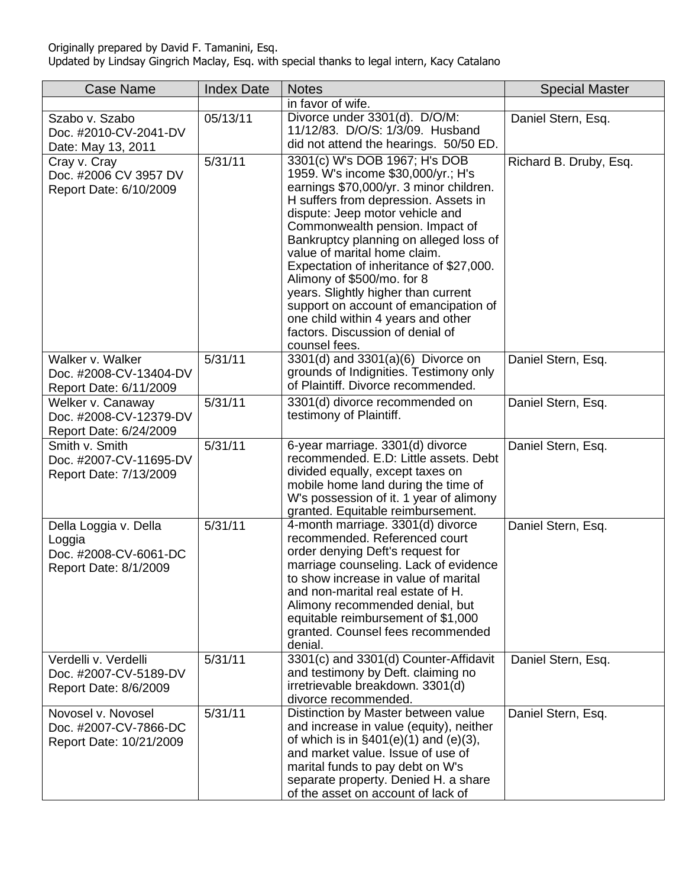| <b>Case Name</b>                                                                  | <b>Index Date</b> | <b>Notes</b>                                                                                                                                                                                                                                                                                                                                                                                                                                                                                                                                               | <b>Special Master</b>  |
|-----------------------------------------------------------------------------------|-------------------|------------------------------------------------------------------------------------------------------------------------------------------------------------------------------------------------------------------------------------------------------------------------------------------------------------------------------------------------------------------------------------------------------------------------------------------------------------------------------------------------------------------------------------------------------------|------------------------|
|                                                                                   |                   | in favor of wife.                                                                                                                                                                                                                                                                                                                                                                                                                                                                                                                                          |                        |
| Szabo v. Szabo<br>Doc. #2010-CV-2041-DV<br>Date: May 13, 2011                     | 05/13/11          | Divorce under 3301(d). D/O/M:<br>11/12/83. D/O/S: 1/3/09. Husband<br>did not attend the hearings. 50/50 ED.                                                                                                                                                                                                                                                                                                                                                                                                                                                | Daniel Stern, Esq.     |
| Cray v. Cray<br>Doc. #2006 CV 3957 DV<br>Report Date: 6/10/2009                   | 5/31/11           | 3301(c) W's DOB 1967; H's DOB<br>1959. W's income \$30,000/yr.; H's<br>earnings \$70,000/yr. 3 minor children.<br>H suffers from depression. Assets in<br>dispute: Jeep motor vehicle and<br>Commonwealth pension. Impact of<br>Bankruptcy planning on alleged loss of<br>value of marital home claim.<br>Expectation of inheritance of \$27,000.<br>Alimony of \$500/mo. for 8<br>years. Slightly higher than current<br>support on account of emancipation of<br>one child within 4 years and other<br>factors. Discussion of denial of<br>counsel fees. | Richard B. Druby, Esq. |
| Walker v. Walker<br>Doc. #2008-CV-13404-DV<br>Report Date: 6/11/2009              | 5/31/11           | 3301(d) and 3301(a)(6) Divorce on<br>grounds of Indignities. Testimony only<br>of Plaintiff. Divorce recommended.                                                                                                                                                                                                                                                                                                                                                                                                                                          | Daniel Stern, Esq.     |
| Welker v. Canaway<br>Doc. #2008-CV-12379-DV<br>Report Date: 6/24/2009             | 5/31/11           | 3301(d) divorce recommended on<br>testimony of Plaintiff.                                                                                                                                                                                                                                                                                                                                                                                                                                                                                                  | Daniel Stern, Esq.     |
| Smith v. Smith<br>Doc. #2007-CV-11695-DV<br>Report Date: 7/13/2009                | 5/31/11           | 6-year marriage. 3301(d) divorce<br>recommended. E.D: Little assets. Debt<br>divided equally, except taxes on<br>mobile home land during the time of<br>W's possession of it. 1 year of alimony<br>granted. Equitable reimbursement.                                                                                                                                                                                                                                                                                                                       | Daniel Stern, Esq.     |
| Della Loggia v. Della<br>Loggia<br>Doc. #2008-CV-6061-DC<br>Report Date: 8/1/2009 | 5/31/11           | 4-month marriage. 3301(d) divorce<br>recommended. Referenced court<br>order denying Deft's request for<br>marriage counseling. Lack of evidence<br>to show increase in value of marital<br>and non-marital real estate of H.<br>Alimony recommended denial, but<br>equitable reimbursement of \$1,000<br>granted. Counsel fees recommended<br>denial.                                                                                                                                                                                                      | Daniel Stern, Esq.     |
| Verdelli v. Verdelli<br>Doc. #2007-CV-5189-DV<br>Report Date: 8/6/2009            | 5/31/11           | 3301(c) and 3301(d) Counter-Affidavit<br>and testimony by Deft. claiming no<br>irretrievable breakdown. 3301(d)<br>divorce recommended.                                                                                                                                                                                                                                                                                                                                                                                                                    | Daniel Stern, Esq.     |
| Novosel v. Novosel<br>Doc. #2007-CV-7866-DC<br>Report Date: 10/21/2009            | 5/31/11           | Distinction by Master between value<br>and increase in value (equity), neither<br>of which is in $\S401(e)(1)$ and $(e)(3)$ ,<br>and market value. Issue of use of<br>marital funds to pay debt on W's<br>separate property. Denied H. a share<br>of the asset on account of lack of                                                                                                                                                                                                                                                                       | Daniel Stern, Esq.     |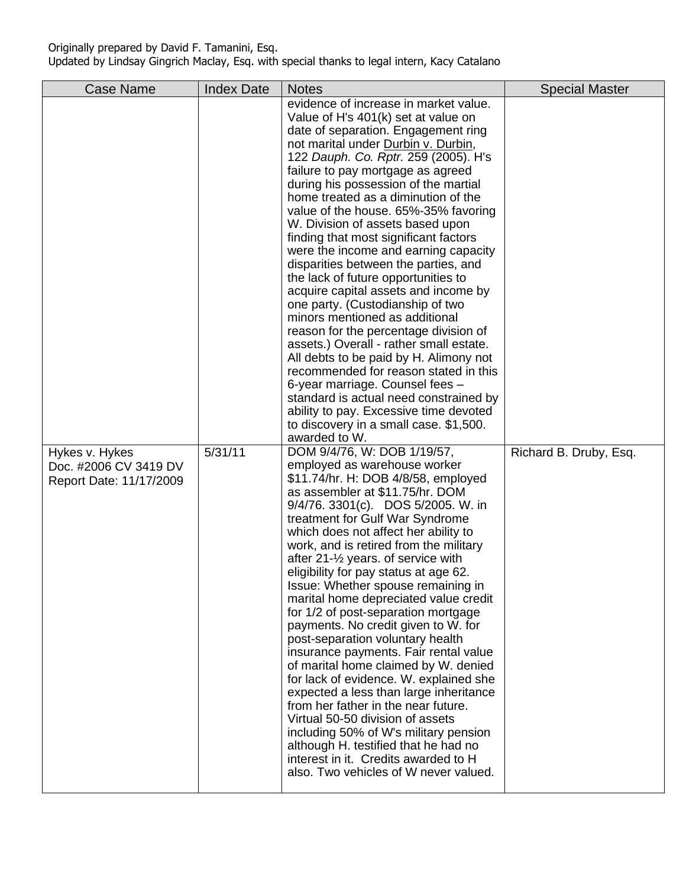| <b>Case Name</b>                                                   | <b>Index Date</b> | <b>Notes</b>                                                                                                                                                                                                                                                                                                                                                                                                                                                                                                                                                                                                                                                                                                                                                                                                                                                                                                                                                                                                                              | <b>Special Master</b>  |
|--------------------------------------------------------------------|-------------------|-------------------------------------------------------------------------------------------------------------------------------------------------------------------------------------------------------------------------------------------------------------------------------------------------------------------------------------------------------------------------------------------------------------------------------------------------------------------------------------------------------------------------------------------------------------------------------------------------------------------------------------------------------------------------------------------------------------------------------------------------------------------------------------------------------------------------------------------------------------------------------------------------------------------------------------------------------------------------------------------------------------------------------------------|------------------------|
|                                                                    |                   | evidence of increase in market value.<br>Value of H's 401(k) set at value on<br>date of separation. Engagement ring<br>not marital under Durbin v. Durbin,<br>122 Dauph. Co. Rptr. 259 (2005). H's<br>failure to pay mortgage as agreed<br>during his possession of the martial<br>home treated as a diminution of the<br>value of the house. 65%-35% favoring<br>W. Division of assets based upon<br>finding that most significant factors<br>were the income and earning capacity<br>disparities between the parties, and<br>the lack of future opportunities to<br>acquire capital assets and income by<br>one party. (Custodianship of two<br>minors mentioned as additional<br>reason for the percentage division of<br>assets.) Overall - rather small estate.<br>All debts to be paid by H. Alimony not<br>recommended for reason stated in this<br>6-year marriage. Counsel fees -<br>standard is actual need constrained by<br>ability to pay. Excessive time devoted<br>to discovery in a small case. \$1,500.<br>awarded to W. |                        |
| Hykes v. Hykes<br>Doc. #2006 CV 3419 DV<br>Report Date: 11/17/2009 | 5/31/11           | DOM 9/4/76, W: DOB 1/19/57,<br>employed as warehouse worker<br>\$11.74/hr. H: DOB 4/8/58, employed<br>as assembler at \$11.75/hr. DOM<br>9/4/76. 3301(c). DOS 5/2005. W. in<br>treatment for Gulf War Syndrome<br>which does not affect her ability to<br>work, and is retired from the military<br>after 21-1/ <sub>2</sub> years. of service with<br>eligibility for pay status at age 62.<br>Issue: Whether spouse remaining in<br>marital home depreciated value credit<br>for 1/2 of post-separation mortgage<br>payments. No credit given to W. for<br>post-separation voluntary health<br>insurance payments. Fair rental value<br>of marital home claimed by W. denied<br>for lack of evidence. W. explained she<br>expected a less than large inheritance<br>from her father in the near future.<br>Virtual 50-50 division of assets<br>including 50% of W's military pension<br>although H. testified that he had no<br>interest in it. Credits awarded to H<br>also. Two vehicles of W never valued.                           | Richard B. Druby, Esq. |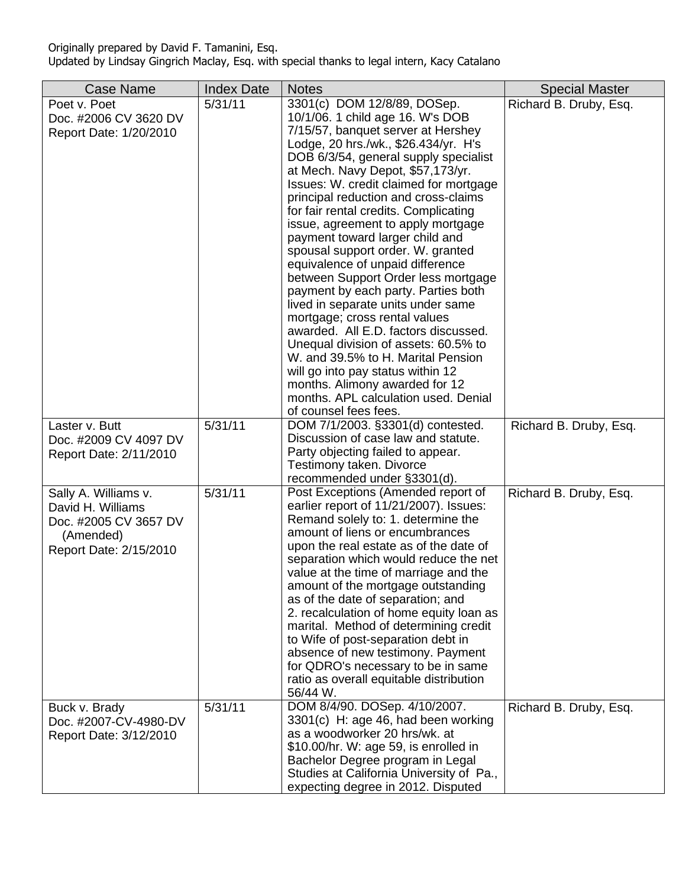| <b>Case Name</b>                                                                                          | <b>Index Date</b> | <b>Notes</b>                                                                                                                                                                                                                                                                                                                                                                                                                                                                                                                                                                                                                                                                                                                                                                                                                                                                                                                | <b>Special Master</b>  |
|-----------------------------------------------------------------------------------------------------------|-------------------|-----------------------------------------------------------------------------------------------------------------------------------------------------------------------------------------------------------------------------------------------------------------------------------------------------------------------------------------------------------------------------------------------------------------------------------------------------------------------------------------------------------------------------------------------------------------------------------------------------------------------------------------------------------------------------------------------------------------------------------------------------------------------------------------------------------------------------------------------------------------------------------------------------------------------------|------------------------|
| Poet v. Poet<br>Doc. #2006 CV 3620 DV<br>Report Date: 1/20/2010                                           | 5/31/11           | 3301(c) DOM 12/8/89, DOSep.<br>10/1/06. 1 child age 16. W's DOB<br>7/15/57, banquet server at Hershey<br>Lodge, 20 hrs./wk., \$26.434/yr. H's<br>DOB 6/3/54, general supply specialist<br>at Mech. Navy Depot, \$57,173/yr.<br>Issues: W. credit claimed for mortgage<br>principal reduction and cross-claims<br>for fair rental credits. Complicating<br>issue, agreement to apply mortgage<br>payment toward larger child and<br>spousal support order. W. granted<br>equivalence of unpaid difference<br>between Support Order less mortgage<br>payment by each party. Parties both<br>lived in separate units under same<br>mortgage; cross rental values<br>awarded. All E.D. factors discussed.<br>Unequal division of assets: 60.5% to<br>W. and 39.5% to H. Marital Pension<br>will go into pay status within 12<br>months. Alimony awarded for 12<br>months. APL calculation used. Denial<br>of counsel fees fees. | Richard B. Druby, Esq. |
| Laster v. Butt<br>Doc. #2009 CV 4097 DV<br>Report Date: 2/11/2010                                         | 5/31/11           | DOM 7/1/2003. §3301(d) contested.<br>Discussion of case law and statute.<br>Party objecting failed to appear.<br>Testimony taken. Divorce<br>recommended under §3301(d).                                                                                                                                                                                                                                                                                                                                                                                                                                                                                                                                                                                                                                                                                                                                                    | Richard B. Druby, Esq. |
| Sally A. Williams v.<br>David H. Williams<br>Doc. #2005 CV 3657 DV<br>(Amended)<br>Report Date: 2/15/2010 | 5/31/11           | Post Exceptions (Amended report of<br>earlier report of 11/21/2007). Issues:<br>Remand solely to: 1. determine the<br>amount of liens or encumbrances<br>upon the real estate as of the date of<br>separation which would reduce the net<br>value at the time of marriage and the<br>amount of the mortgage outstanding<br>as of the date of separation; and<br>2. recalculation of home equity loan as<br>marital. Method of determining credit<br>to Wife of post-separation debt in<br>absence of new testimony. Payment<br>for QDRO's necessary to be in same<br>ratio as overall equitable distribution<br>56/44 W.                                                                                                                                                                                                                                                                                                    | Richard B. Druby, Esq. |
| Buck v. Brady<br>Doc. #2007-CV-4980-DV<br>Report Date: 3/12/2010                                          | 5/31/11           | DOM 8/4/90. DOSep. 4/10/2007.<br>3301(c) H: age 46, had been working<br>as a woodworker 20 hrs/wk. at<br>\$10.00/hr. W: age 59, is enrolled in<br>Bachelor Degree program in Legal<br>Studies at California University of Pa.,<br>expecting degree in 2012. Disputed                                                                                                                                                                                                                                                                                                                                                                                                                                                                                                                                                                                                                                                        | Richard B. Druby, Esq. |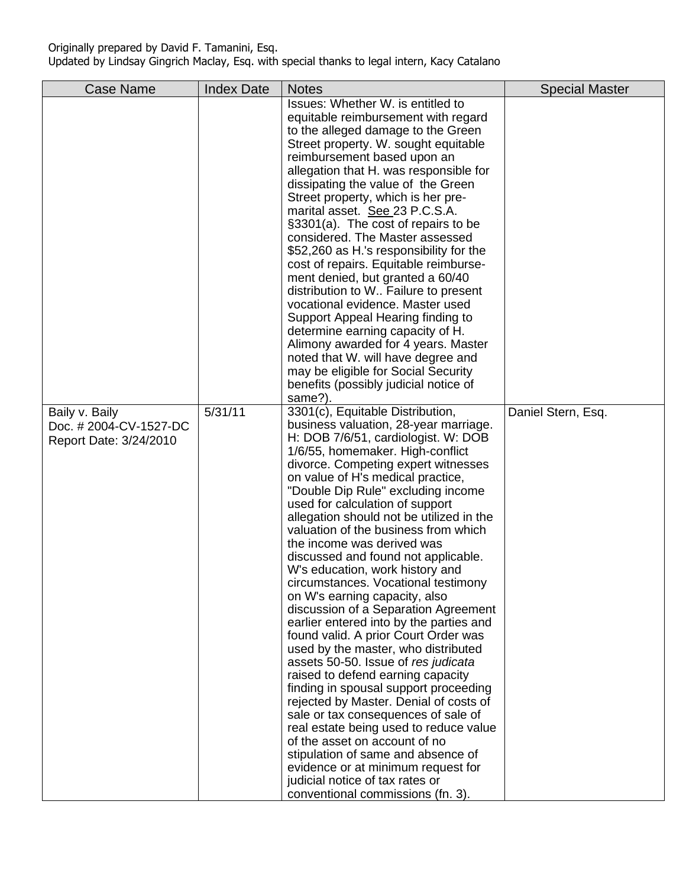| <b>Case Name</b>                                                  | <b>Index Date</b> | <b>Notes</b>                                                                                                                                                                                                                                                                                                                                                                                                                                                                                                                                                                                                                                                                                                                                                                                                                                                                                                                                                                                                                                                                                                                                                                         | <b>Special Master</b> |
|-------------------------------------------------------------------|-------------------|--------------------------------------------------------------------------------------------------------------------------------------------------------------------------------------------------------------------------------------------------------------------------------------------------------------------------------------------------------------------------------------------------------------------------------------------------------------------------------------------------------------------------------------------------------------------------------------------------------------------------------------------------------------------------------------------------------------------------------------------------------------------------------------------------------------------------------------------------------------------------------------------------------------------------------------------------------------------------------------------------------------------------------------------------------------------------------------------------------------------------------------------------------------------------------------|-----------------------|
|                                                                   |                   | Issues: Whether W. is entitled to<br>equitable reimbursement with regard<br>to the alleged damage to the Green<br>Street property. W. sought equitable<br>reimbursement based upon an<br>allegation that H. was responsible for<br>dissipating the value of the Green<br>Street property, which is her pre-<br>marital asset. See 23 P.C.S.A.<br>§3301(a). The cost of repairs to be<br>considered. The Master assessed<br>\$52,260 as H.'s responsibility for the<br>cost of repairs. Equitable reimburse-<br>ment denied, but granted a 60/40<br>distribution to W Failure to present<br>vocational evidence. Master used<br>Support Appeal Hearing finding to<br>determine earning capacity of H.<br>Alimony awarded for 4 years. Master<br>noted that W. will have degree and<br>may be eligible for Social Security<br>benefits (possibly judicial notice of<br>same?).                                                                                                                                                                                                                                                                                                         |                       |
| Baily v. Baily<br>Doc. #2004-CV-1527-DC<br>Report Date: 3/24/2010 | 5/31/11           | 3301(c), Equitable Distribution,<br>business valuation, 28-year marriage.<br>H: DOB 7/6/51, cardiologist. W: DOB<br>1/6/55, homemaker. High-conflict<br>divorce. Competing expert witnesses<br>on value of H's medical practice,<br>"Double Dip Rule" excluding income<br>used for calculation of support<br>allegation should not be utilized in the<br>valuation of the business from which<br>the income was derived was<br>discussed and found not applicable.<br>W's education, work history and<br>circumstances. Vocational testimony<br>on W's earning capacity, also<br>discussion of a Separation Agreement<br>earlier entered into by the parties and<br>found valid. A prior Court Order was<br>used by the master, who distributed<br>assets 50-50. Issue of res judicata<br>raised to defend earning capacity<br>finding in spousal support proceeding<br>rejected by Master. Denial of costs of<br>sale or tax consequences of sale of<br>real estate being used to reduce value<br>of the asset on account of no<br>stipulation of same and absence of<br>evidence or at minimum request for<br>judicial notice of tax rates or<br>conventional commissions (fn. 3). | Daniel Stern, Esq.    |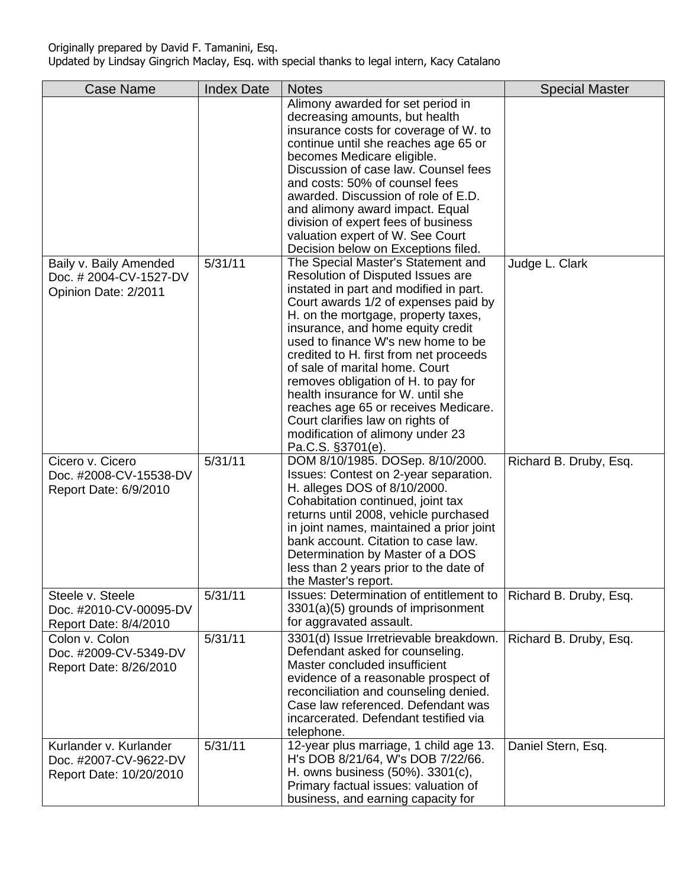| <b>Case Name</b>                                                           | <b>Index Date</b> | <b>Notes</b>                                                                                                                                                                                                                                                                                                                                                                                                                                                                                                                                                             | <b>Special Master</b>  |
|----------------------------------------------------------------------------|-------------------|--------------------------------------------------------------------------------------------------------------------------------------------------------------------------------------------------------------------------------------------------------------------------------------------------------------------------------------------------------------------------------------------------------------------------------------------------------------------------------------------------------------------------------------------------------------------------|------------------------|
|                                                                            |                   | Alimony awarded for set period in<br>decreasing amounts, but health<br>insurance costs for coverage of W. to<br>continue until she reaches age 65 or<br>becomes Medicare eligible.<br>Discussion of case law. Counsel fees<br>and costs: 50% of counsel fees<br>awarded. Discussion of role of E.D.<br>and alimony award impact. Equal<br>division of expert fees of business<br>valuation expert of W. See Court<br>Decision below on Exceptions filed.                                                                                                                 |                        |
| Baily v. Baily Amended<br>Doc. #2004-CV-1527-DV<br>Opinion Date: 2/2011    | 5/31/11           | The Special Master's Statement and<br>Resolution of Disputed Issues are<br>instated in part and modified in part.<br>Court awards 1/2 of expenses paid by<br>H. on the mortgage, property taxes,<br>insurance, and home equity credit<br>used to finance W's new home to be<br>credited to H. first from net proceeds<br>of sale of marital home. Court<br>removes obligation of H. to pay for<br>health insurance for W. until she<br>reaches age 65 or receives Medicare.<br>Court clarifies law on rights of<br>modification of alimony under 23<br>Pa.C.S. §3701(e). | Judge L. Clark         |
| Cicero v. Cicero<br>Doc. #2008-CV-15538-DV<br>Report Date: 6/9/2010        | 5/31/11           | DOM 8/10/1985. DOSep. 8/10/2000.<br>Issues: Contest on 2-year separation.<br>H. alleges DOS of 8/10/2000.<br>Cohabitation continued, joint tax<br>returns until 2008, vehicle purchased<br>in joint names, maintained a prior joint<br>bank account. Citation to case law.<br>Determination by Master of a DOS<br>less than 2 years prior to the date of<br>the Master's report.                                                                                                                                                                                         | Richard B. Druby, Esq. |
| Steele v. Steele<br>Doc. #2010-CV-00095-DV<br>Report Date: 8/4/2010        | 5/31/11           | <b>Issues: Determination of entitlement to</b><br>3301(a)(5) grounds of imprisonment<br>for aggravated assault.                                                                                                                                                                                                                                                                                                                                                                                                                                                          | Richard B. Druby, Esq. |
| Colon v. Colon<br>Doc. #2009-CV-5349-DV<br>Report Date: 8/26/2010          | 5/31/11           | 3301(d) Issue Irretrievable breakdown.<br>Defendant asked for counseling.<br>Master concluded insufficient<br>evidence of a reasonable prospect of<br>reconciliation and counseling denied.<br>Case law referenced. Defendant was<br>incarcerated. Defendant testified via<br>telephone.                                                                                                                                                                                                                                                                                 | Richard B. Druby, Esq. |
| Kurlander v. Kurlander<br>Doc. #2007-CV-9622-DV<br>Report Date: 10/20/2010 | 5/31/11           | 12-year plus marriage, 1 child age 13.<br>H's DOB 8/21/64, W's DOB 7/22/66.<br>H. owns business (50%). 3301(c),<br>Primary factual issues: valuation of<br>business, and earning capacity for                                                                                                                                                                                                                                                                                                                                                                            | Daniel Stern, Esq.     |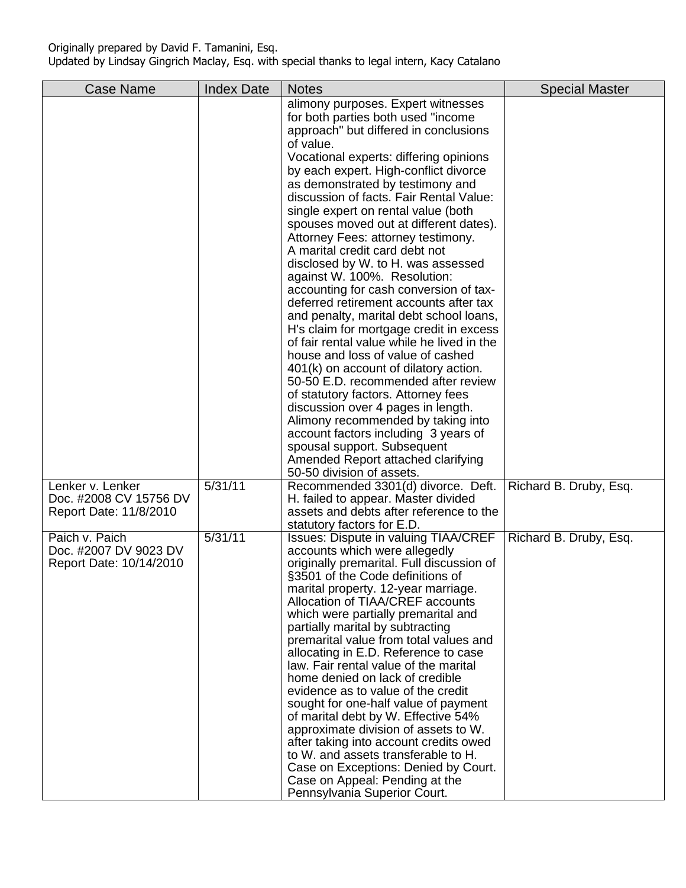| <b>Case Name</b>                                                     | <b>Index Date</b> | <b>Notes</b>                                                                                                                                                                                                                                                                                                                                                                                                                                                                                                                                                                                                                                                                                                                                                                                                                                                                                                                                                                                                                                                                                                  | <b>Special Master</b>  |
|----------------------------------------------------------------------|-------------------|---------------------------------------------------------------------------------------------------------------------------------------------------------------------------------------------------------------------------------------------------------------------------------------------------------------------------------------------------------------------------------------------------------------------------------------------------------------------------------------------------------------------------------------------------------------------------------------------------------------------------------------------------------------------------------------------------------------------------------------------------------------------------------------------------------------------------------------------------------------------------------------------------------------------------------------------------------------------------------------------------------------------------------------------------------------------------------------------------------------|------------------------|
|                                                                      |                   | alimony purposes. Expert witnesses<br>for both parties both used "income"<br>approach" but differed in conclusions<br>of value.<br>Vocational experts: differing opinions<br>by each expert. High-conflict divorce<br>as demonstrated by testimony and<br>discussion of facts. Fair Rental Value:<br>single expert on rental value (both<br>spouses moved out at different dates).<br>Attorney Fees: attorney testimony.<br>A marital credit card debt not<br>disclosed by W. to H. was assessed<br>against W. 100%. Resolution:<br>accounting for cash conversion of tax-<br>deferred retirement accounts after tax<br>and penalty, marital debt school loans,<br>H's claim for mortgage credit in excess<br>of fair rental value while he lived in the<br>house and loss of value of cashed<br>401(k) on account of dilatory action.<br>50-50 E.D. recommended after review<br>of statutory factors. Attorney fees<br>discussion over 4 pages in length.<br>Alimony recommended by taking into<br>account factors including 3 years of<br>spousal support. Subsequent<br>Amended Report attached clarifying |                        |
| Lenker v. Lenker<br>Doc. #2008 CV 15756 DV<br>Report Date: 11/8/2010 | 5/31/11           | 50-50 division of assets.<br>Recommended 3301(d) divorce. Deft.<br>H. failed to appear. Master divided<br>assets and debts after reference to the                                                                                                                                                                                                                                                                                                                                                                                                                                                                                                                                                                                                                                                                                                                                                                                                                                                                                                                                                             | Richard B. Druby, Esq. |
| Paich v. Paich<br>Doc. #2007 DV 9023 DV<br>Report Date: 10/14/2010   | 5/31/11           | statutory factors for E.D.<br><b>Issues: Dispute in valuing TIAA/CREF</b><br>accounts which were allegedly<br>originally premarital. Full discussion of<br>§3501 of the Code definitions of<br>marital property. 12-year marriage.<br>Allocation of TIAA/CREF accounts<br>which were partially premarital and<br>partially marital by subtracting<br>premarital value from total values and<br>allocating in E.D. Reference to case<br>law. Fair rental value of the marital<br>home denied on lack of credible<br>evidence as to value of the credit<br>sought for one-half value of payment<br>of marital debt by W. Effective 54%<br>approximate division of assets to W.<br>after taking into account credits owed<br>to W. and assets transferable to H.<br>Case on Exceptions: Denied by Court.<br>Case on Appeal: Pending at the<br>Pennsylvania Superior Court.                                                                                                                                                                                                                                       | Richard B. Druby, Esq. |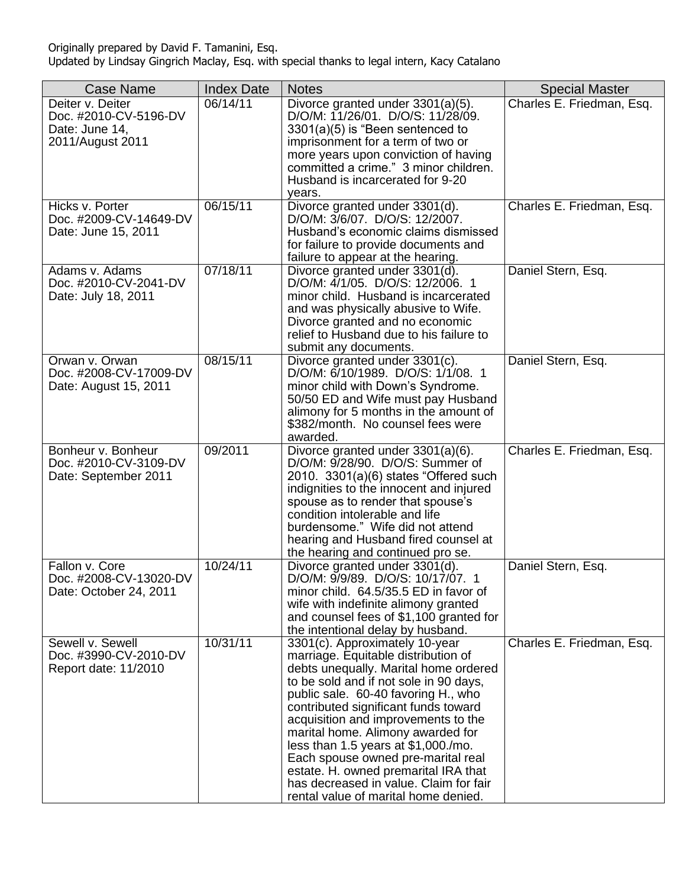| <b>Case Name</b>                                                                | <b>Index Date</b> | <b>Notes</b>                                                                                                                                                                                                                                                                                                                                                                                                                                                                                                               | <b>Special Master</b>     |
|---------------------------------------------------------------------------------|-------------------|----------------------------------------------------------------------------------------------------------------------------------------------------------------------------------------------------------------------------------------------------------------------------------------------------------------------------------------------------------------------------------------------------------------------------------------------------------------------------------------------------------------------------|---------------------------|
| Deiter v. Deiter<br>Doc. #2010-CV-5196-DV<br>Date: June 14,<br>2011/August 2011 | 06/14/11          | Divorce granted under 3301(a)(5).<br>D/O/M: 11/26/01. D/O/S: 11/28/09.<br>3301(a)(5) is "Been sentenced to<br>imprisonment for a term of two or<br>more years upon conviction of having<br>committed a crime." 3 minor children.<br>Husband is incarcerated for 9-20<br>years.                                                                                                                                                                                                                                             | Charles E. Friedman, Esq. |
| Hicks v. Porter<br>Doc. #2009-CV-14649-DV<br>Date: June 15, 2011                | 06/15/11          | Divorce granted under 3301(d).<br>D/O/M: 3/6/07. D/O/S: 12/2007.<br>Husband's economic claims dismissed<br>for failure to provide documents and<br>failure to appear at the hearing.                                                                                                                                                                                                                                                                                                                                       | Charles E. Friedman, Esq. |
| Adams v. Adams<br>Doc. #2010-CV-2041-DV<br>Date: July 18, 2011                  | 07/18/11          | Divorce granted under 3301(d).<br>D/O/M: 4/1/05. D/O/S: 12/2006. 1<br>minor child. Husband is incarcerated<br>and was physically abusive to Wife.<br>Divorce granted and no economic<br>relief to Husband due to his failure to<br>submit any documents.                                                                                                                                                                                                                                                                   | Daniel Stern, Esq.        |
| Orwan v. Orwan<br>Doc. #2008-CV-17009-DV<br>Date: August 15, 2011               | 08/15/11          | Divorce granted under 3301(c).<br>D/O/M: 6/10/1989. D/O/S: 1/1/08. 1<br>minor child with Down's Syndrome.<br>50/50 ED and Wife must pay Husband<br>alimony for 5 months in the amount of<br>\$382/month. No counsel fees were<br>awarded.                                                                                                                                                                                                                                                                                  | Daniel Stern, Esq.        |
| Bonheur v. Bonheur<br>Doc. #2010-CV-3109-DV<br>Date: September 2011             | 09/2011           | Divorce granted under 3301(a)(6).<br>D/O/M: 9/28/90. D/O/S: Summer of<br>$2010.3301(a)(6)$ states "Offered such<br>indignities to the innocent and injured<br>spouse as to render that spouse's<br>condition intolerable and life<br>burdensome." Wife did not attend<br>hearing and Husband fired counsel at<br>the hearing and continued pro se.                                                                                                                                                                         | Charles E. Friedman, Esq. |
| Fallon v. Core<br>Doc. #2008-CV-13020-DV<br>Date: October 24, 2011              | 10/24/11          | Divorce granted under 3301(d).<br>D/O/M: 9/9/89. D/O/S: 10/17/07. 1<br>minor child. 64.5/35.5 ED in favor of<br>wife with indefinite alimony granted<br>and counsel fees of \$1,100 granted for<br>the intentional delay by husband.                                                                                                                                                                                                                                                                                       | Daniel Stern, Esq.        |
| Sewell v. Sewell<br>Doc. #3990-CV-2010-DV<br>Report date: 11/2010               | 10/31/11          | 3301(c). Approximately 10-year<br>marriage. Equitable distribution of<br>debts unequally. Marital home ordered<br>to be sold and if not sole in 90 days,<br>public sale. 60-40 favoring H., who<br>contributed significant funds toward<br>acquisition and improvements to the<br>marital home. Alimony awarded for<br>less than 1.5 years at \$1,000./mo.<br>Each spouse owned pre-marital real<br>estate. H. owned premarital IRA that<br>has decreased in value. Claim for fair<br>rental value of marital home denied. | Charles E. Friedman, Esq. |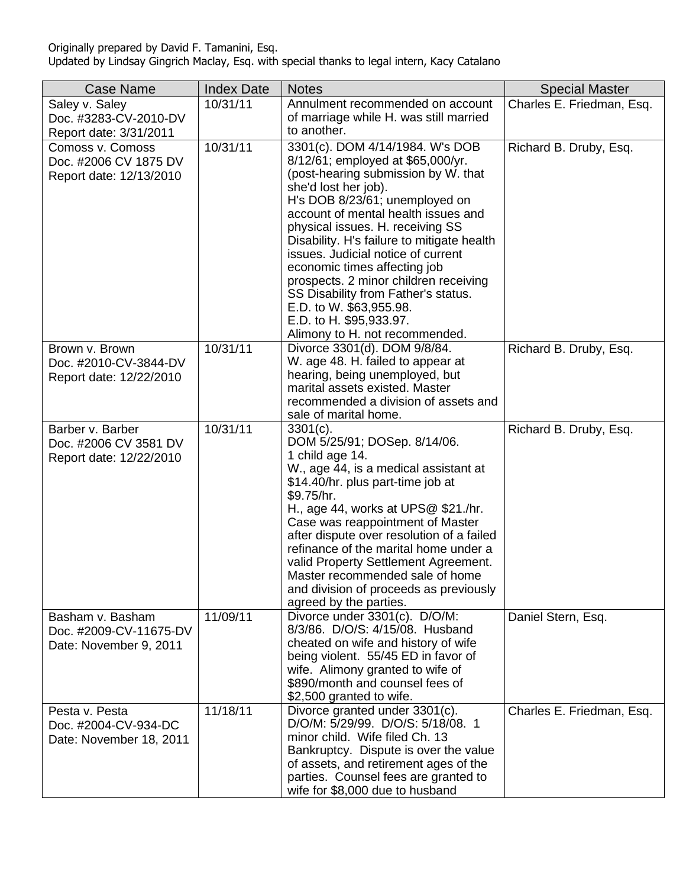| <b>Case Name</b>                                                     | <b>Index Date</b> | <b>Notes</b>                                                                                                                                                                                                                                                                                                                                                                                                                                                                                                                                 | <b>Special Master</b>     |
|----------------------------------------------------------------------|-------------------|----------------------------------------------------------------------------------------------------------------------------------------------------------------------------------------------------------------------------------------------------------------------------------------------------------------------------------------------------------------------------------------------------------------------------------------------------------------------------------------------------------------------------------------------|---------------------------|
| Saley v. Saley<br>Doc. #3283-CV-2010-DV<br>Report date: 3/31/2011    | 10/31/11          | Annulment recommended on account<br>of marriage while H. was still married<br>to another.                                                                                                                                                                                                                                                                                                                                                                                                                                                    | Charles E. Friedman, Esq. |
| Comoss v. Comoss<br>Doc. #2006 CV 1875 DV<br>Report date: 12/13/2010 | 10/31/11          | 3301(c). DOM 4/14/1984. W's DOB<br>8/12/61; employed at \$65,000/yr.<br>(post-hearing submission by W. that<br>she'd lost her job).<br>H's DOB 8/23/61; unemployed on<br>account of mental health issues and<br>physical issues. H. receiving SS<br>Disability. H's failure to mitigate health<br>issues. Judicial notice of current<br>economic times affecting job<br>prospects. 2 minor children receiving<br>SS Disability from Father's status.<br>E.D. to W. \$63,955.98.<br>E.D. to H. \$95,933.97.<br>Alimony to H. not recommended. | Richard B. Druby, Esq.    |
| Brown v. Brown<br>Doc. #2010-CV-3844-DV<br>Report date: 12/22/2010   | 10/31/11          | Divorce 3301(d). DOM 9/8/84.<br>W. age 48. H. failed to appear at<br>hearing, being unemployed, but<br>marital assets existed. Master<br>recommended a division of assets and<br>sale of marital home.                                                                                                                                                                                                                                                                                                                                       | Richard B. Druby, Esq.    |
| Barber v. Barber<br>Doc. #2006 CV 3581 DV<br>Report date: 12/22/2010 | 10/31/11          | $3301(c)$ .<br>DOM 5/25/91; DOSep. 8/14/06.<br>1 child age 14.<br>W., age 44, is a medical assistant at<br>\$14.40/hr. plus part-time job at<br>\$9.75/hr.<br>H., age 44, works at UPS@ \$21./hr.<br>Case was reappointment of Master<br>after dispute over resolution of a failed<br>refinance of the marital home under a<br>valid Property Settlement Agreement.<br>Master recommended sale of home<br>and division of proceeds as previously<br>agreed by the parties.                                                                   | Richard B. Druby, Esq.    |
| Basham v. Basham<br>Doc. #2009-CV-11675-DV<br>Date: November 9, 2011 | 11/09/11          | Divorce under 3301(c). D/O/M:<br>8/3/86. D/O/S: 4/15/08. Husband<br>cheated on wife and history of wife<br>being violent. 55/45 ED in favor of<br>wife. Alimony granted to wife of<br>\$890/month and counsel fees of<br>\$2,500 granted to wife.                                                                                                                                                                                                                                                                                            | Daniel Stern, Esq.        |
| Pesta v. Pesta<br>Doc. #2004-CV-934-DC<br>Date: November 18, 2011    | 11/18/11          | Divorce granted under 3301(c).<br>D/O/M: 5/29/99. D/O/S: 5/18/08. 1<br>minor child. Wife filed Ch. 13<br>Bankruptcy. Dispute is over the value<br>of assets, and retirement ages of the<br>parties. Counsel fees are granted to<br>wife for \$8,000 due to husband                                                                                                                                                                                                                                                                           | Charles E. Friedman, Esq. |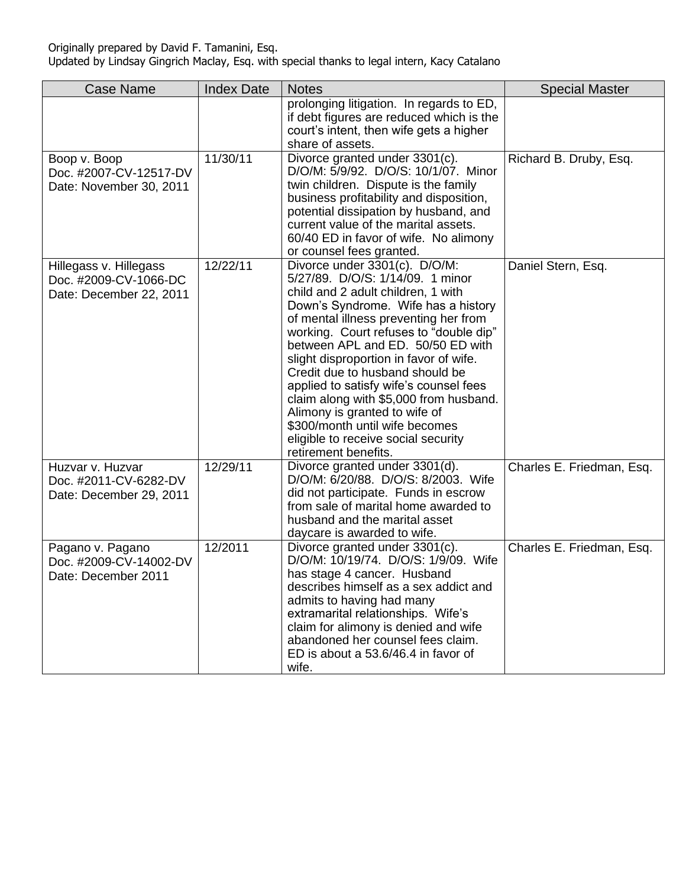| <b>Case Name</b>                                                           | <b>Index Date</b> | <b>Notes</b>                                                                                                                                                                                                                                                                                                                                                                                                                                                                                                                                                              | <b>Special Master</b>     |
|----------------------------------------------------------------------------|-------------------|---------------------------------------------------------------------------------------------------------------------------------------------------------------------------------------------------------------------------------------------------------------------------------------------------------------------------------------------------------------------------------------------------------------------------------------------------------------------------------------------------------------------------------------------------------------------------|---------------------------|
|                                                                            |                   | prolonging litigation. In regards to ED,<br>if debt figures are reduced which is the<br>court's intent, then wife gets a higher<br>share of assets.                                                                                                                                                                                                                                                                                                                                                                                                                       |                           |
| Boop v. Boop<br>Doc. #2007-CV-12517-DV<br>Date: November 30, 2011          | 11/30/11          | Divorce granted under 3301(c).<br>D/O/M: 5/9/92. D/O/S: 10/1/07. Minor<br>twin children. Dispute is the family<br>business profitability and disposition,<br>potential dissipation by husband, and<br>current value of the marital assets.<br>60/40 ED in favor of wife. No alimony<br>or counsel fees granted.                                                                                                                                                                                                                                                           | Richard B. Druby, Esq.    |
| Hillegass v. Hillegass<br>Doc. #2009-CV-1066-DC<br>Date: December 22, 2011 | 12/22/11          | Divorce under 3301(c). D/O/M:<br>5/27/89. D/O/S: 1/14/09. 1 minor<br>child and 2 adult children, 1 with<br>Down's Syndrome. Wife has a history<br>of mental illness preventing her from<br>working. Court refuses to "double dip"<br>between APL and ED. 50/50 ED with<br>slight disproportion in favor of wife.<br>Credit due to husband should be<br>applied to satisfy wife's counsel fees<br>claim along with \$5,000 from husband.<br>Alimony is granted to wife of<br>\$300/month until wife becomes<br>eligible to receive social security<br>retirement benefits. | Daniel Stern, Esq.        |
| Huzvar v. Huzvar<br>Doc. #2011-CV-6282-DV<br>Date: December 29, 2011       | 12/29/11          | Divorce granted under 3301(d).<br>D/O/M: 6/20/88. D/O/S: 8/2003. Wife<br>did not participate. Funds in escrow<br>from sale of marital home awarded to<br>husband and the marital asset<br>daycare is awarded to wife.                                                                                                                                                                                                                                                                                                                                                     | Charles E. Friedman, Esq. |
| Pagano v. Pagano<br>Doc. #2009-CV-14002-DV<br>Date: December 2011          | 12/2011           | Divorce granted under 3301(c).<br>D/O/M: 10/19/74. D/O/S: 1/9/09. Wife<br>has stage 4 cancer. Husband<br>describes himself as a sex addict and<br>admits to having had many<br>extramarital relationships. Wife's<br>claim for alimony is denied and wife<br>abandoned her counsel fees claim.<br>ED is about a 53.6/46.4 in favor of<br>wife.                                                                                                                                                                                                                            | Charles E. Friedman, Esq. |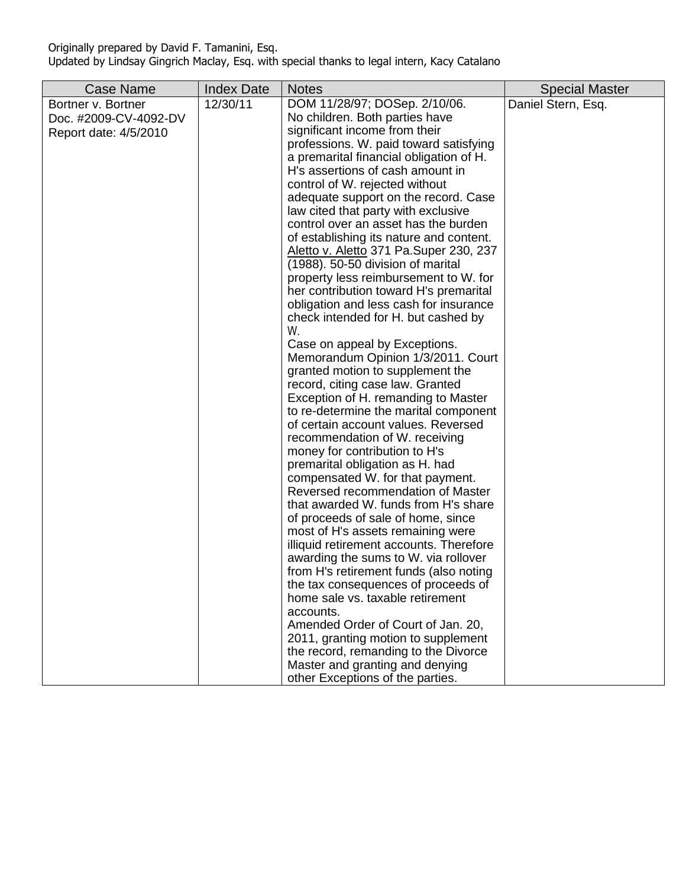| <b>Case Name</b>                                                     | <b>Index Date</b> | <b>Notes</b>                                                                                                                                                                                                                                                                                                                                                                                                                                                                                                                                                                                                                                                                                                                                                                                                                                                                                                                                                                                                                                                                                                                                                                                                                                                                                                                                                                                                                                                                                                                                                                                                                                                                     | <b>Special Master</b> |
|----------------------------------------------------------------------|-------------------|----------------------------------------------------------------------------------------------------------------------------------------------------------------------------------------------------------------------------------------------------------------------------------------------------------------------------------------------------------------------------------------------------------------------------------------------------------------------------------------------------------------------------------------------------------------------------------------------------------------------------------------------------------------------------------------------------------------------------------------------------------------------------------------------------------------------------------------------------------------------------------------------------------------------------------------------------------------------------------------------------------------------------------------------------------------------------------------------------------------------------------------------------------------------------------------------------------------------------------------------------------------------------------------------------------------------------------------------------------------------------------------------------------------------------------------------------------------------------------------------------------------------------------------------------------------------------------------------------------------------------------------------------------------------------------|-----------------------|
| Bortner v. Bortner<br>Doc. #2009-CV-4092-DV<br>Report date: 4/5/2010 | 12/30/11          | DOM 11/28/97; DOSep. 2/10/06.<br>No children. Both parties have<br>significant income from their<br>professions. W. paid toward satisfying<br>a premarital financial obligation of H.<br>H's assertions of cash amount in<br>control of W. rejected without<br>adequate support on the record. Case<br>law cited that party with exclusive<br>control over an asset has the burden<br>of establishing its nature and content.<br>Aletto v. Aletto 371 Pa. Super 230, 237<br>(1988). 50-50 division of marital<br>property less reimbursement to W. for<br>her contribution toward H's premarital<br>obligation and less cash for insurance<br>check intended for H. but cashed by<br>W.<br>Case on appeal by Exceptions.<br>Memorandum Opinion 1/3/2011. Court<br>granted motion to supplement the<br>record, citing case law. Granted<br>Exception of H. remanding to Master<br>to re-determine the marital component<br>of certain account values. Reversed<br>recommendation of W. receiving<br>money for contribution to H's<br>premarital obligation as H. had<br>compensated W. for that payment.<br>Reversed recommendation of Master<br>that awarded W. funds from H's share<br>of proceeds of sale of home, since<br>most of H's assets remaining were<br>illiquid retirement accounts. Therefore<br>awarding the sums to W. via rollover<br>from H's retirement funds (also noting<br>the tax consequences of proceeds of<br>home sale vs. taxable retirement<br>accounts.<br>Amended Order of Court of Jan. 20,<br>2011, granting motion to supplement<br>the record, remanding to the Divorce<br>Master and granting and denying<br>other Exceptions of the parties. | Daniel Stern, Esq.    |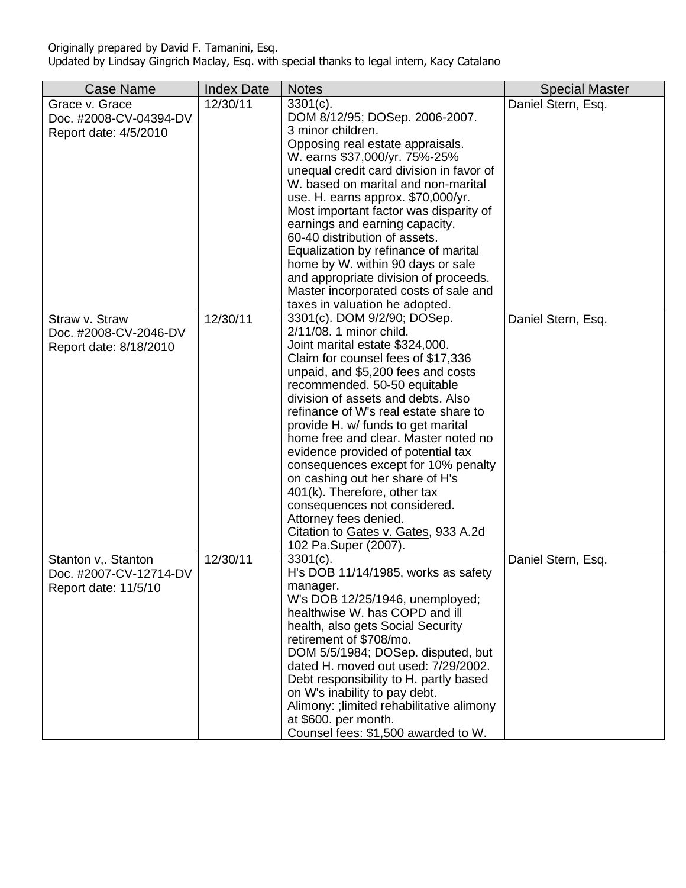| <b>Case Name</b>                                                      | <b>Index Date</b> | <b>Notes</b>                                                                                                                                                                                                                                                                                                                                                                                                                                                                                                                                                                                                                                | <b>Special Master</b> |
|-----------------------------------------------------------------------|-------------------|---------------------------------------------------------------------------------------------------------------------------------------------------------------------------------------------------------------------------------------------------------------------------------------------------------------------------------------------------------------------------------------------------------------------------------------------------------------------------------------------------------------------------------------------------------------------------------------------------------------------------------------------|-----------------------|
| Grace v. Grace<br>Doc. #2008-CV-04394-DV<br>Report date: 4/5/2010     | 12/30/11          | $3301(c)$ .<br>DOM 8/12/95; DOSep. 2006-2007.<br>3 minor children.<br>Opposing real estate appraisals.<br>W. earns \$37,000/yr. 75%-25%<br>unequal credit card division in favor of<br>W. based on marital and non-marital<br>use. H. earns approx. \$70,000/yr.<br>Most important factor was disparity of<br>earnings and earning capacity.<br>60-40 distribution of assets.<br>Equalization by refinance of marital<br>home by W. within 90 days or sale<br>and appropriate division of proceeds.<br>Master incorporated costs of sale and<br>taxes in valuation he adopted.                                                              | Daniel Stern, Esq.    |
| Straw v. Straw<br>Doc. #2008-CV-2046-DV<br>Report date: 8/18/2010     | 12/30/11          | 3301(c). DOM 9/2/90; DOSep.<br>2/11/08. 1 minor child.<br>Joint marital estate \$324,000.<br>Claim for counsel fees of \$17,336<br>unpaid, and \$5,200 fees and costs<br>recommended. 50-50 equitable<br>division of assets and debts. Also<br>refinance of W's real estate share to<br>provide H. w/ funds to get marital<br>home free and clear. Master noted no<br>evidence provided of potential tax<br>consequences except for 10% penalty<br>on cashing out her share of H's<br>401(k). Therefore, other tax<br>consequences not considered.<br>Attorney fees denied.<br>Citation to Gates v. Gates, 933 A.2d<br>102 Pa.Super (2007). | Daniel Stern, Esq.    |
| Stanton v,. Stanton<br>Doc. #2007-CV-12714-DV<br>Report date: 11/5/10 | 12/30/11          | $3301(c)$ .<br>H's DOB 11/14/1985, works as safety<br>manager.<br>W's DOB 12/25/1946, unemployed;<br>healthwise W. has COPD and ill<br>health, also gets Social Security<br>retirement of \$708/mo.<br>DOM 5/5/1984; DOSep. disputed, but<br>dated H. moved out used: 7/29/2002.<br>Debt responsibility to H. partly based<br>on W's inability to pay debt.<br>Alimony: ; limited rehabilitative alimony<br>at \$600. per month.<br>Counsel fees: \$1,500 awarded to W.                                                                                                                                                                     | Daniel Stern, Esq.    |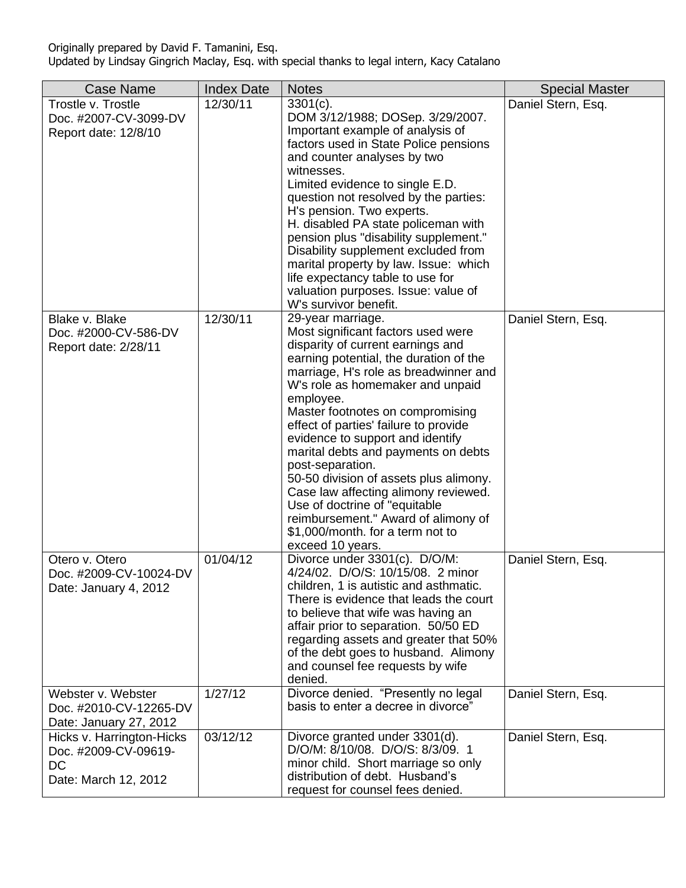| <b>Case Name</b>                                                                       | <b>Index Date</b> | <b>Notes</b>                                                                                                                                                                                                                                                                                                                                                                                                                                                                                                                                                                                                                   | <b>Special Master</b> |
|----------------------------------------------------------------------------------------|-------------------|--------------------------------------------------------------------------------------------------------------------------------------------------------------------------------------------------------------------------------------------------------------------------------------------------------------------------------------------------------------------------------------------------------------------------------------------------------------------------------------------------------------------------------------------------------------------------------------------------------------------------------|-----------------------|
| Trostle v. Trostle<br>Doc. #2007-CV-3099-DV<br>Report date: 12/8/10                    | 12/30/11          | $3301(c)$ .<br>DOM 3/12/1988; DOSep. 3/29/2007.<br>Important example of analysis of<br>factors used in State Police pensions<br>and counter analyses by two<br>witnesses.<br>Limited evidence to single E.D.<br>question not resolved by the parties:<br>H's pension. Two experts.<br>H. disabled PA state policeman with<br>pension plus "disability supplement."<br>Disability supplement excluded from<br>marital property by law. Issue: which<br>life expectancy table to use for<br>valuation purposes. Issue: value of<br>W's survivor benefit.                                                                         | Daniel Stern, Esq.    |
| Blake v. Blake<br>Doc. #2000-CV-586-DV<br>Report date: 2/28/11                         | 12/30/11          | 29-year marriage.<br>Most significant factors used were<br>disparity of current earnings and<br>earning potential, the duration of the<br>marriage, H's role as breadwinner and<br>W's role as homemaker and unpaid<br>employee.<br>Master footnotes on compromising<br>effect of parties' failure to provide<br>evidence to support and identify<br>marital debts and payments on debts<br>post-separation.<br>50-50 division of assets plus alimony.<br>Case law affecting alimony reviewed.<br>Use of doctrine of "equitable<br>reimbursement." Award of alimony of<br>\$1,000/month. for a term not to<br>exceed 10 years. | Daniel Stern, Esq.    |
| Otero v. Otero<br>Doc. #2009-CV-10024-DV<br>Date: January 4, 2012                      | 01/04/12          | Divorce under 3301(c). D/O/M:<br>4/24/02. D/O/S: 10/15/08. 2 minor<br>children, 1 is autistic and asthmatic.<br>There is evidence that leads the court<br>to believe that wife was having an<br>affair prior to separation. 50/50 ED<br>regarding assets and greater that 50%<br>of the debt goes to husband. Alimony<br>and counsel fee requests by wife<br>denied.                                                                                                                                                                                                                                                           | Daniel Stern, Esq.    |
| Webster v. Webster<br>Doc. #2010-CV-12265-DV<br>Date: January 27, 2012                 | 1/27/12           | Divorce denied. "Presently no legal<br>basis to enter a decree in divorce"                                                                                                                                                                                                                                                                                                                                                                                                                                                                                                                                                     | Daniel Stern, Esq.    |
| Hicks v. Harrington-Hicks<br>Doc. #2009-CV-09619-<br><b>DC</b><br>Date: March 12, 2012 | 03/12/12          | Divorce granted under 3301(d).<br>D/O/M: 8/10/08. D/O/S: 8/3/09. 1<br>minor child. Short marriage so only<br>distribution of debt. Husband's<br>request for counsel fees denied.                                                                                                                                                                                                                                                                                                                                                                                                                                               | Daniel Stern, Esq.    |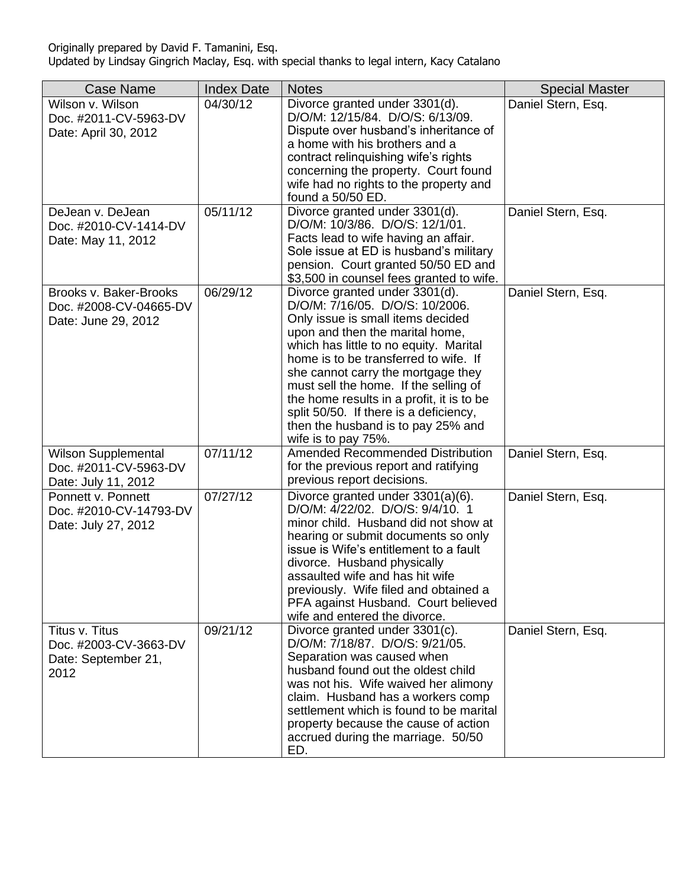| <b>Case Name</b>                                                        | <b>Index Date</b> | <b>Notes</b>                                                                                                                                                                                                                                                                                                                                                                                                                                                    | <b>Special Master</b> |
|-------------------------------------------------------------------------|-------------------|-----------------------------------------------------------------------------------------------------------------------------------------------------------------------------------------------------------------------------------------------------------------------------------------------------------------------------------------------------------------------------------------------------------------------------------------------------------------|-----------------------|
| Wilson v. Wilson<br>Doc. #2011-CV-5963-DV<br>Date: April 30, 2012       | 04/30/12          | Divorce granted under 3301(d).<br>D/O/M: 12/15/84. D/O/S: 6/13/09.<br>Dispute over husband's inheritance of<br>a home with his brothers and a<br>contract relinquishing wife's rights<br>concerning the property. Court found<br>wife had no rights to the property and<br>found a 50/50 ED.                                                                                                                                                                    | Daniel Stern, Esq.    |
| DeJean v. DeJean<br>Doc. #2010-CV-1414-DV<br>Date: May 11, 2012         | 05/11/12          | Divorce granted under 3301(d).<br>D/O/M: 10/3/86. D/O/S: 12/1/01.<br>Facts lead to wife having an affair.<br>Sole issue at ED is husband's military<br>pension. Court granted 50/50 ED and<br>\$3,500 in counsel fees granted to wife.                                                                                                                                                                                                                          | Daniel Stern, Esq.    |
| Brooks v. Baker-Brooks<br>Doc. #2008-CV-04665-DV<br>Date: June 29, 2012 | 06/29/12          | Divorce granted under 3301(d).<br>D/O/M: 7/16/05. D/O/S: 10/2006.<br>Only issue is small items decided<br>upon and then the marital home,<br>which has little to no equity. Marital<br>home is to be transferred to wife. If<br>she cannot carry the mortgage they<br>must sell the home. If the selling of<br>the home results in a profit, it is to be<br>split 50/50. If there is a deficiency,<br>then the husband is to pay 25% and<br>wife is to pay 75%. | Daniel Stern, Esq.    |
| Wilson Supplemental<br>Doc. #2011-CV-5963-DV<br>Date: July 11, 2012     | 07/11/12          | Amended Recommended Distribution<br>for the previous report and ratifying<br>previous report decisions.                                                                                                                                                                                                                                                                                                                                                         | Daniel Stern, Esq.    |
| Ponnett v. Ponnett<br>Doc. #2010-CV-14793-DV<br>Date: July 27, 2012     | 07/27/12          | Divorce granted under $3301(a)(6)$ .<br>D/O/M: 4/22/02. D/O/S: 9/4/10. 1<br>minor child. Husband did not show at<br>hearing or submit documents so only<br>issue is Wife's entitlement to a fault<br>divorce. Husband physically<br>assaulted wife and has hit wife<br>previously. Wife filed and obtained a<br>PFA against Husband. Court believed<br>wife and entered the divorce.                                                                            | Daniel Stern, Esq.    |
| Titus v. Titus<br>Doc. #2003-CV-3663-DV<br>Date: September 21,<br>2012  | 09/21/12          | Divorce granted under 3301(c).<br>D/O/M: 7/18/87. D/O/S: 9/21/05.<br>Separation was caused when<br>husband found out the oldest child<br>was not his. Wife waived her alimony<br>claim. Husband has a workers comp<br>settlement which is found to be marital<br>property because the cause of action<br>accrued during the marriage. 50/50<br>ED.                                                                                                              | Daniel Stern, Esq.    |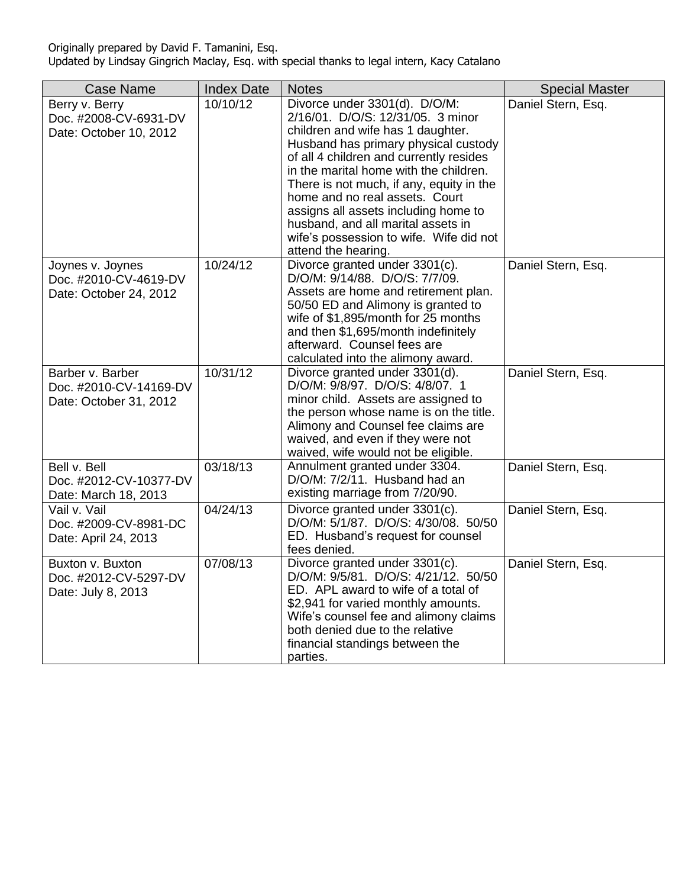| <b>Case Name</b>                                                     | <b>Index Date</b> | <b>Notes</b>                                                                                                                                                                                                                                                                                                                                                                                                                                                       | <b>Special Master</b> |
|----------------------------------------------------------------------|-------------------|--------------------------------------------------------------------------------------------------------------------------------------------------------------------------------------------------------------------------------------------------------------------------------------------------------------------------------------------------------------------------------------------------------------------------------------------------------------------|-----------------------|
| Berry v. Berry<br>Doc. #2008-CV-6931-DV<br>Date: October 10, 2012    | 10/10/12          | Divorce under 3301(d). D/O/M:<br>2/16/01. D/O/S: 12/31/05. 3 minor<br>children and wife has 1 daughter.<br>Husband has primary physical custody<br>of all 4 children and currently resides<br>in the marital home with the children.<br>There is not much, if any, equity in the<br>home and no real assets. Court<br>assigns all assets including home to<br>husband, and all marital assets in<br>wife's possession to wife. Wife did not<br>attend the hearing. | Daniel Stern, Esq.    |
| Joynes v. Joynes<br>Doc. #2010-CV-4619-DV<br>Date: October 24, 2012  | 10/24/12          | Divorce granted under 3301(c).<br>D/O/M: 9/14/88. D/O/S: 7/7/09.<br>Assets are home and retirement plan.<br>50/50 ED and Alimony is granted to<br>wife of \$1,895/month for 25 months<br>and then \$1,695/month indefinitely<br>afterward. Counsel fees are<br>calculated into the alimony award.                                                                                                                                                                  | Daniel Stern, Esq.    |
| Barber v. Barber<br>Doc. #2010-CV-14169-DV<br>Date: October 31, 2012 | 10/31/12          | Divorce granted under 3301(d).<br>D/O/M: 9/8/97. D/O/S: 4/8/07. 1<br>minor child. Assets are assigned to<br>the person whose name is on the title.<br>Alimony and Counsel fee claims are<br>waived, and even if they were not<br>waived, wife would not be eligible.                                                                                                                                                                                               | Daniel Stern, Esq.    |
| Bell v. Bell<br>Doc. #2012-CV-10377-DV<br>Date: March 18, 2013       | 03/18/13          | Annulment granted under 3304.<br>D/O/M: 7/2/11. Husband had an<br>existing marriage from 7/20/90.                                                                                                                                                                                                                                                                                                                                                                  | Daniel Stern, Esq.    |
| Vail v. Vail<br>Doc. #2009-CV-8981-DC<br>Date: April 24, 2013        | 04/24/13          | Divorce granted under 3301(c).<br>D/O/M: 5/1/87. D/O/S: 4/30/08. 50/50<br>ED. Husband's request for counsel<br>fees denied.                                                                                                                                                                                                                                                                                                                                        | Daniel Stern, Esq.    |
| Buxton v. Buxton<br>Doc. #2012-CV-5297-DV<br>Date: July 8, 2013      | 07/08/13          | Divorce granted under 3301(c).<br>D/O/M: 9/5/81. D/O/S: 4/21/12. 50/50<br>ED. APL award to wife of a total of<br>\$2,941 for varied monthly amounts.<br>Wife's counsel fee and alimony claims<br>both denied due to the relative<br>financial standings between the<br>parties.                                                                                                                                                                                    | Daniel Stern, Esq.    |